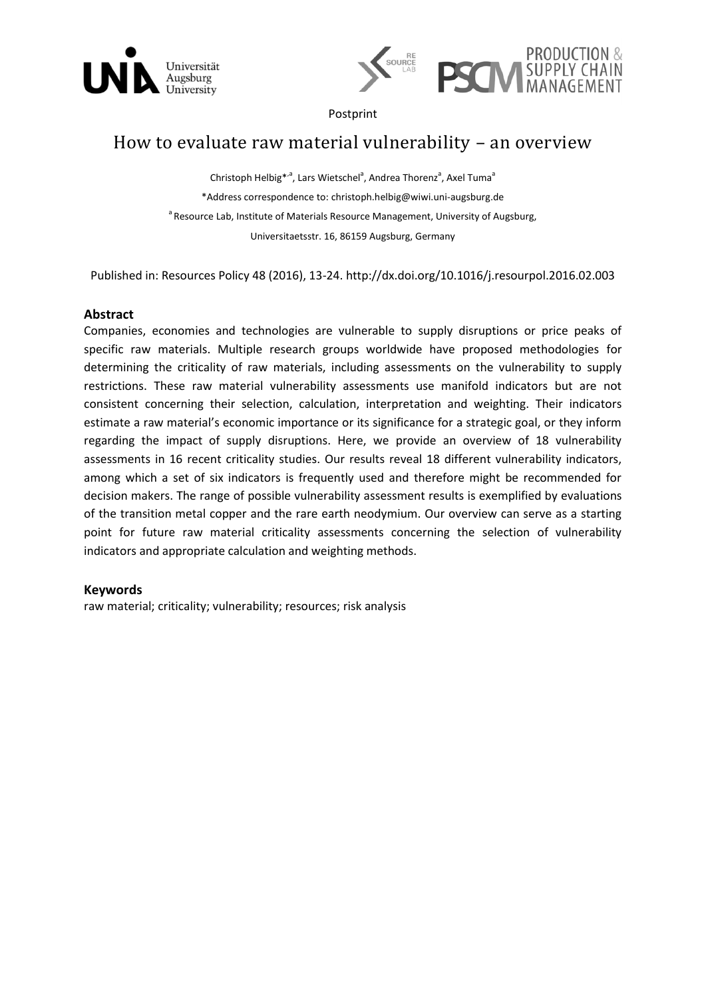



Postprint

# How to evaluate raw material vulnerability – an overview

Christoph Helbig\*<sup>,a</sup>, Lars Wietschel<sup>a</sup>, Andrea Thorenz<sup>a</sup>, Axel Tuma<sup>a</sup> \*Address correspondence to: christoph.helbig@wiwi.uni-augsburg.de <sup>a</sup> Resource Lab, Institute of Materials Resource Management, University of Augsburg, Universitaetsstr. 16, 86159 Augsburg, Germany

Published in: Resources Policy 48 (2016), 13-24. http://dx.doi.org/10.1016/j.resourpol.2016.02.003

#### **Abstract**

Companies, economies and technologies are vulnerable to supply disruptions or price peaks of specific raw materials. Multiple research groups worldwide have proposed methodologies for determining the criticality of raw materials, including assessments on the vulnerability to supply restrictions. These raw material vulnerability assessments use manifold indicators but are not consistent concerning their selection, calculation, interpretation and weighting. Their indicators estimate a raw material's economic importance or its significance for a strategic goal, or they inform regarding the impact of supply disruptions. Here, we provide an overview of 18 vulnerability assessments in 16 recent criticality studies. Our results reveal 18 different vulnerability indicators, among which a set of six indicators is frequently used and therefore might be recommended for decision makers. The range of possible vulnerability assessment results is exemplified by evaluations of the transition metal copper and the rare earth neodymium. Our overview can serve as a starting point for future raw material criticality assessments concerning the selection of vulnerability indicators and appropriate calculation and weighting methods.

#### **Keywords**

raw material; criticality; vulnerability; resources; risk analysis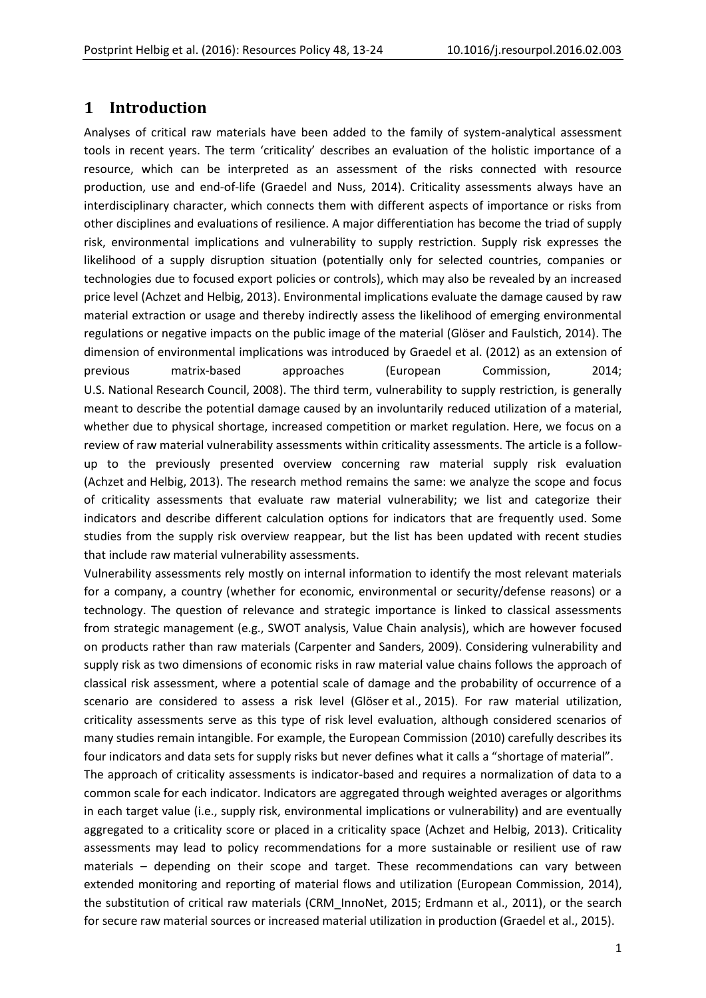## **1 Introduction**

Analyses of critical raw materials have been added to the family of system-analytical assessment tools in recent years. The term 'criticality' describes an evaluation of the holistic importance of a resource, which can be interpreted as an assessment of the risks connected with resource production, use and end-of-life (Graedel and Nuss, 2014). Criticality assessments always have an interdisciplinary character, which connects them with different aspects of importance or risks from other disciplines and evaluations of resilience. A major differentiation has become the triad of supply risk, environmental implications and vulnerability to supply restriction. Supply risk expresses the likelihood of a supply disruption situation (potentially only for selected countries, companies or technologies due to focused export policies or controls), which may also be revealed by an increased price level (Achzet and Helbig, 2013). Environmental implications evaluate the damage caused by raw material extraction or usage and thereby indirectly assess the likelihood of emerging environmental regulations or negative impacts on the public image of the material (Glöser and Faulstich, 2014). The dimension of environmental implications was introduced by Graedel et al. (2012) as an extension of previous matrix-based approaches (European Commission, 2014; U.S. National Research Council, 2008). The third term, vulnerability to supply restriction, is generally meant to describe the potential damage caused by an involuntarily reduced utilization of a material, whether due to physical shortage, increased competition or market regulation. Here, we focus on a review of raw material vulnerability assessments within criticality assessments. The article is a followup to the previously presented overview concerning raw material supply risk evaluation (Achzet and Helbig, 2013). The research method remains the same: we analyze the scope and focus of criticality assessments that evaluate raw material vulnerability; we list and categorize their indicators and describe different calculation options for indicators that are frequently used. Some studies from the supply risk overview reappear, but the list has been updated with recent studies that include raw material vulnerability assessments.

Vulnerability assessments rely mostly on internal information to identify the most relevant materials for a company, a country (whether for economic, environmental or security/defense reasons) or a technology. The question of relevance and strategic importance is linked to classical assessments from strategic management (e.g., SWOT analysis, Value Chain analysis), which are however focused on products rather than raw materials (Carpenter and Sanders, 2009). Considering vulnerability and supply risk as two dimensions of economic risks in raw material value chains follows the approach of classical risk assessment, where a potential scale of damage and the probability of occurrence of a scenario are considered to assess a risk level (Glöser et al., 2015). For raw material utilization, criticality assessments serve as this type of risk level evaluation, although considered scenarios of many studies remain intangible. For example, the European Commission (2010) carefully describes its four indicators and data sets for supply risks but never defines what it calls a "shortage of material".

The approach of criticality assessments is indicator-based and requires a normalization of data to a common scale for each indicator. Indicators are aggregated through weighted averages or algorithms in each target value (i.e., supply risk, environmental implications or vulnerability) and are eventually aggregated to a criticality score or placed in a criticality space (Achzet and Helbig, 2013). Criticality assessments may lead to policy recommendations for a more sustainable or resilient use of raw materials – depending on their scope and target. These recommendations can vary between extended monitoring and reporting of material flows and utilization (European Commission, 2014), the substitution of critical raw materials (CRM\_InnoNet, 2015; Erdmann et al., 2011), or the search for secure raw material sources or increased material utilization in production (Graedel et al., 2015).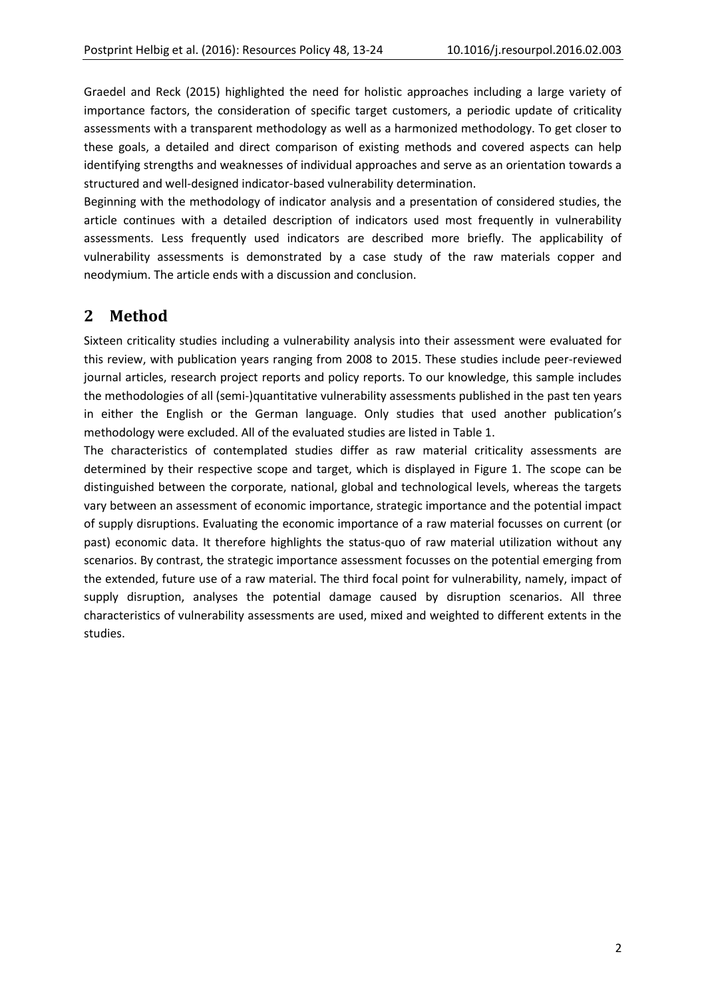Graedel and Reck (2015) highlighted the need for holistic approaches including a large variety of importance factors, the consideration of specific target customers, a periodic update of criticality assessments with a transparent methodology as well as a harmonized methodology. To get closer to these goals, a detailed and direct comparison of existing methods and covered aspects can help identifying strengths and weaknesses of individual approaches and serve as an orientation towards a structured and well-designed indicator-based vulnerability determination.

Beginning with the methodology of indicator analysis and a presentation of considered studies, the article continues with a detailed description of indicators used most frequently in vulnerability assessments. Less frequently used indicators are described more briefly. The applicability of vulnerability assessments is demonstrated by a case study of the raw materials copper and neodymium. The article ends with a discussion and conclusion.

# **2 Method**

Sixteen criticality studies including a vulnerability analysis into their assessment were evaluated for this review, with publication years ranging from 2008 to 2015. These studies include peer-reviewed journal articles, research project reports and policy reports. To our knowledge, this sample includes the methodologies of all (semi-)quantitative vulnerability assessments published in the past ten years in either the English or the German language. Only studies that used another publication's methodology were excluded. All of the evaluated studies are listed in [Table 1.](#page-5-0)

The characteristics of contemplated studies differ as raw material criticality assessments are determined by their respective scope and target, which is displayed in [Figure 1.](#page-3-0) The scope can be distinguished between the corporate, national, global and technological levels, whereas the targets vary between an assessment of economic importance, strategic importance and the potential impact of supply disruptions. Evaluating the economic importance of a raw material focusses on current (or past) economic data. It therefore highlights the status-quo of raw material utilization without any scenarios. By contrast, the strategic importance assessment focusses on the potential emerging from the extended, future use of a raw material. The third focal point for vulnerability, namely, impact of supply disruption, analyses the potential damage caused by disruption scenarios. All three characteristics of vulnerability assessments are used, mixed and weighted to different extents in the studies.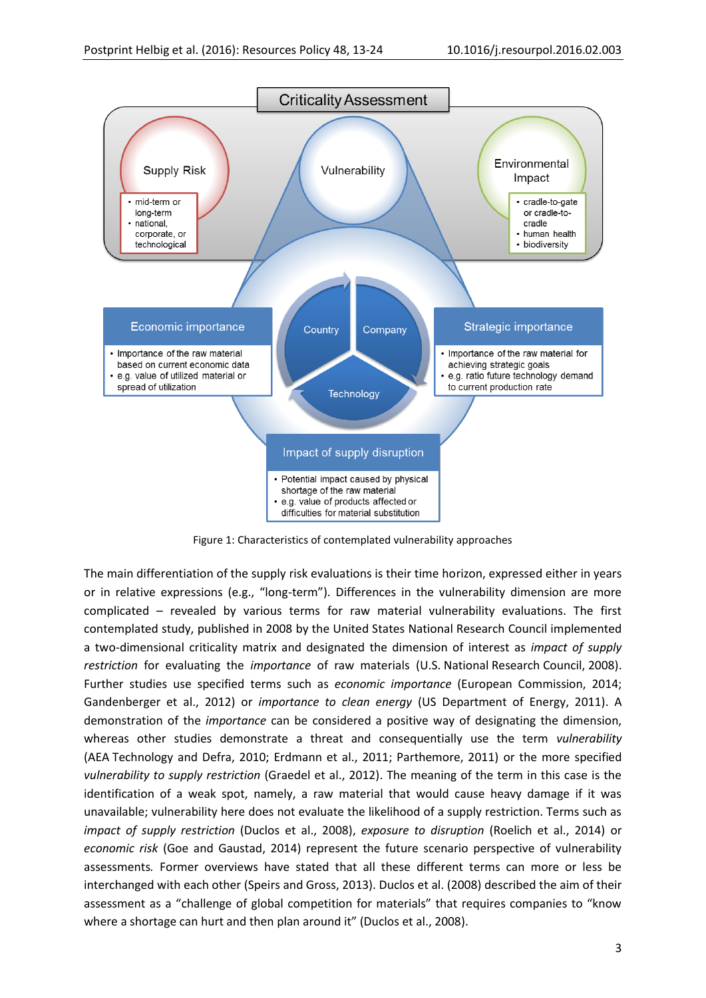

Figure 1: Characteristics of contemplated vulnerability approaches

<span id="page-3-0"></span>The main differentiation of the supply risk evaluations is their time horizon, expressed either in years or in relative expressions (e.g., "long-term"). Differences in the vulnerability dimension are more complicated – revealed by various terms for raw material vulnerability evaluations. The first contemplated study, published in 2008 by the United States National Research Council implemented a two-dimensional criticality matrix and designated the dimension of interest as *impact of supply restriction* for evaluating the *importance* of raw materials (U.S. National Research Council, 2008). Further studies use specified terms such as *economic importance* (European Commission, 2014; Gandenberger et al., 2012) or *importance to clean energy* (US Department of Energy, 2011). A demonstration of the *importance* can be considered a positive way of designating the dimension, whereas other studies demonstrate a threat and consequentially use the term *vulnerability*  (AEA Technology and Defra, 2010; Erdmann et al., 2011; Parthemore, 2011) or the more specified *vulnerability to supply restriction* (Graedel et al., 2012). The meaning of the term in this case is the identification of a weak spot, namely, a raw material that would cause heavy damage if it was unavailable; vulnerability here does not evaluate the likelihood of a supply restriction. Terms such as *impact of supply restriction* (Duclos et al., 2008), *exposure to disruption* (Roelich et al., 2014) or *economic risk* (Goe and Gaustad, 2014) represent the future scenario perspective of vulnerability assessments*.* Former overviews have stated that all these different terms can more or less be interchanged with each other (Speirs and Gross, 2013). Duclos et al. (2008) described the aim of their assessment as a "challenge of global competition for materials" that requires companies to "know where a shortage can hurt and then plan around it" (Duclos et al., 2008).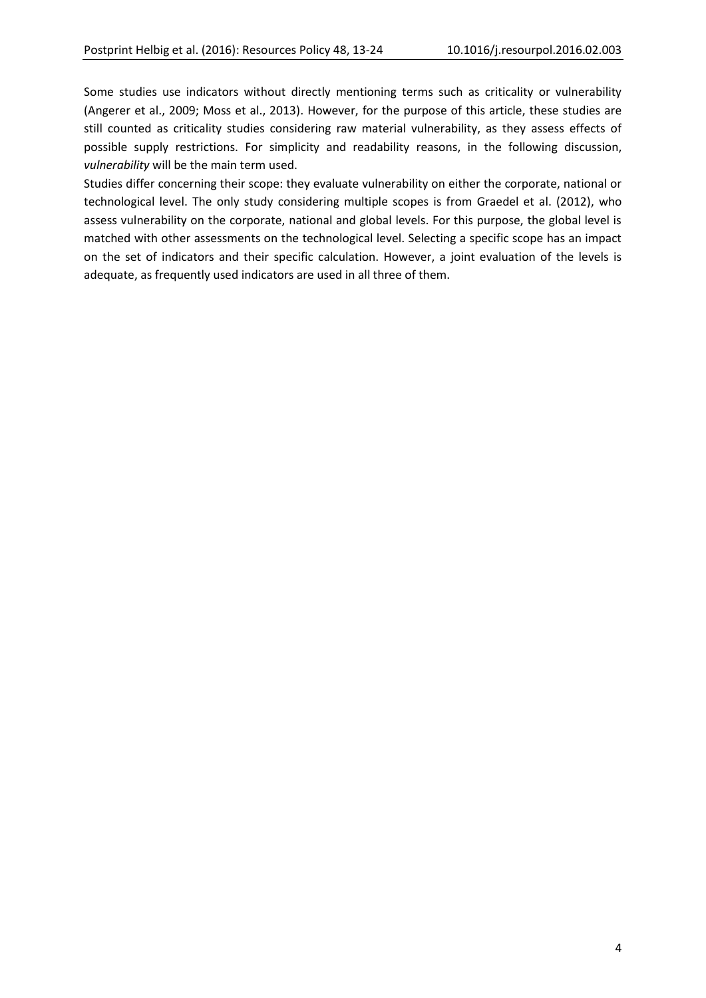Some studies use indicators without directly mentioning terms such as criticality or vulnerability (Angerer et al., 2009; Moss et al., 2013). However, for the purpose of this article, these studies are still counted as criticality studies considering raw material vulnerability, as they assess effects of possible supply restrictions. For simplicity and readability reasons, in the following discussion, *vulnerability* will be the main term used.

Studies differ concerning their scope: they evaluate vulnerability on either the corporate, national or technological level. The only study considering multiple scopes is from Graedel et al. (2012), who assess vulnerability on the corporate, national and global levels. For this purpose, the global level is matched with other assessments on the technological level. Selecting a specific scope has an impact on the set of indicators and their specific calculation. However, a joint evaluation of the levels is adequate, as frequently used indicators are used in all three of them.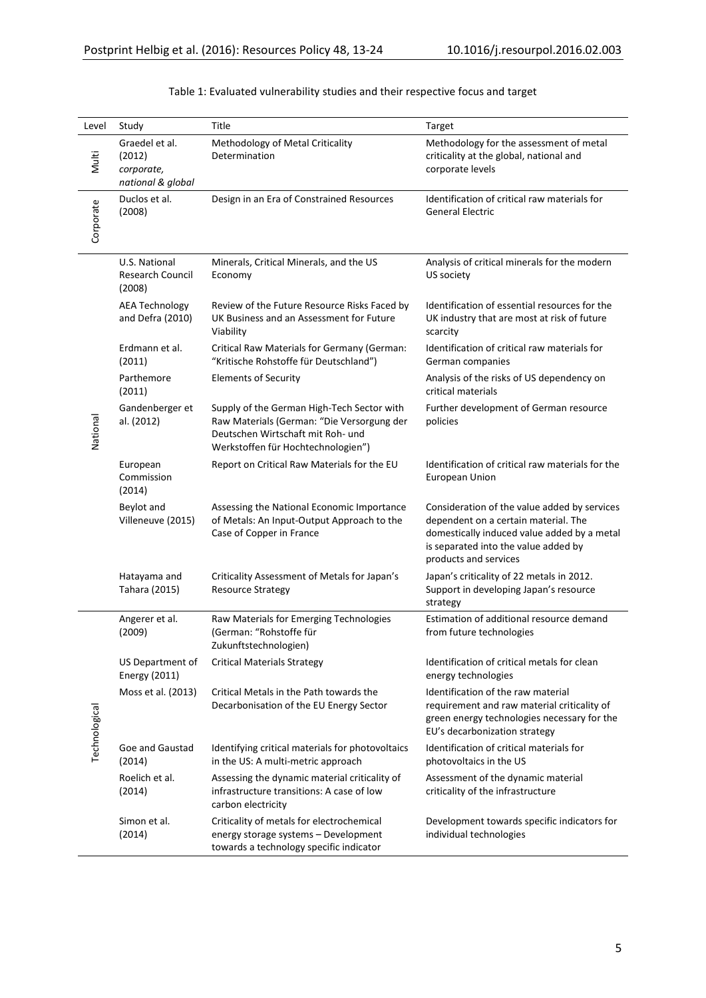<span id="page-5-0"></span>

| Level         | Study                                                       | Title                                                                                                                                                               | Target                                                                                                                                                                                               |  |  |  |  |  |  |
|---------------|-------------------------------------------------------------|---------------------------------------------------------------------------------------------------------------------------------------------------------------------|------------------------------------------------------------------------------------------------------------------------------------------------------------------------------------------------------|--|--|--|--|--|--|
| Multi         | Graedel et al.<br>(2012)<br>corporate,<br>national & global | Methodology of Metal Criticality<br>Determination                                                                                                                   | Methodology for the assessment of metal<br>criticality at the global, national and<br>corporate levels                                                                                               |  |  |  |  |  |  |
| Corporate     | Duclos et al.<br>(2008)                                     | Design in an Era of Constrained Resources                                                                                                                           | Identification of critical raw materials for<br><b>General Electric</b>                                                                                                                              |  |  |  |  |  |  |
|               | U.S. National<br>Research Council<br>(2008)                 | Minerals, Critical Minerals, and the US<br>Economy                                                                                                                  | Analysis of critical minerals for the modern<br>US society                                                                                                                                           |  |  |  |  |  |  |
|               | <b>AEA Technology</b><br>and Defra (2010)                   | Review of the Future Resource Risks Faced by<br>UK Business and an Assessment for Future<br>Viability                                                               | Identification of essential resources for the<br>UK industry that are most at risk of future<br>scarcity                                                                                             |  |  |  |  |  |  |
|               | Erdmann et al.<br>(2011)                                    | Critical Raw Materials for Germany (German:<br>"Kritische Rohstoffe für Deutschland")                                                                               | Identification of critical raw materials for<br>German companies                                                                                                                                     |  |  |  |  |  |  |
|               | Parthemore<br>(2011)                                        | <b>Elements of Security</b>                                                                                                                                         | Analysis of the risks of US dependency on<br>critical materials                                                                                                                                      |  |  |  |  |  |  |
| National      | Gandenberger et<br>al. (2012)                               | Supply of the German High-Tech Sector with<br>Raw Materials (German: "Die Versorgung der<br>Deutschen Wirtschaft mit Roh- und<br>Werkstoffen für Hochtechnologien") | Further development of German resource<br>policies                                                                                                                                                   |  |  |  |  |  |  |
|               | European<br>Commission<br>(2014)                            | Report on Critical Raw Materials for the EU                                                                                                                         | Identification of critical raw materials for the<br>European Union                                                                                                                                   |  |  |  |  |  |  |
|               | Beylot and<br>Villeneuve (2015)                             | Assessing the National Economic Importance<br>of Metals: An Input-Output Approach to the<br>Case of Copper in France                                                | Consideration of the value added by services<br>dependent on a certain material. The<br>domestically induced value added by a metal<br>is separated into the value added by<br>products and services |  |  |  |  |  |  |
|               | Hatayama and<br>Tahara (2015)                               | Criticality Assessment of Metals for Japan's<br><b>Resource Strategy</b>                                                                                            | Japan's criticality of 22 metals in 2012.<br>Support in developing Japan's resource<br>strategy                                                                                                      |  |  |  |  |  |  |
|               | Angerer et al.<br>(2009)                                    | Raw Materials for Emerging Technologies<br>(German: "Rohstoffe für<br>Zukunftstechnologien)                                                                         | Estimation of additional resource demand<br>from future technologies                                                                                                                                 |  |  |  |  |  |  |
|               | US Department of<br>Energy (2011)                           | <b>Critical Materials Strategy</b>                                                                                                                                  | Identification of critical metals for clean<br>energy technologies                                                                                                                                   |  |  |  |  |  |  |
| Technological | Moss et al. (2013)                                          | Critical Metals in the Path towards the<br>Decarbonisation of the EU Energy Sector                                                                                  | Identification of the raw material<br>requirement and raw material criticality of<br>green energy technologies necessary for the<br>EU's decarbonization strategy                                    |  |  |  |  |  |  |
|               | Goe and Gaustad<br>(2014)                                   | Identifying critical materials for photovoltaics<br>in the US: A multi-metric approach                                                                              | Identification of critical materials for<br>photovoltaics in the US                                                                                                                                  |  |  |  |  |  |  |
|               | Roelich et al.<br>(2014)                                    | Assessing the dynamic material criticality of<br>infrastructure transitions: A case of low<br>carbon electricity                                                    | Assessment of the dynamic material<br>criticality of the infrastructure                                                                                                                              |  |  |  |  |  |  |
|               | Simon et al.<br>(2014)                                      | Criticality of metals for electrochemical<br>energy storage systems - Development<br>towards a technology specific indicator                                        | Development towards specific indicators for<br>individual technologies                                                                                                                               |  |  |  |  |  |  |

## Table 1: Evaluated vulnerability studies and their respective focus and target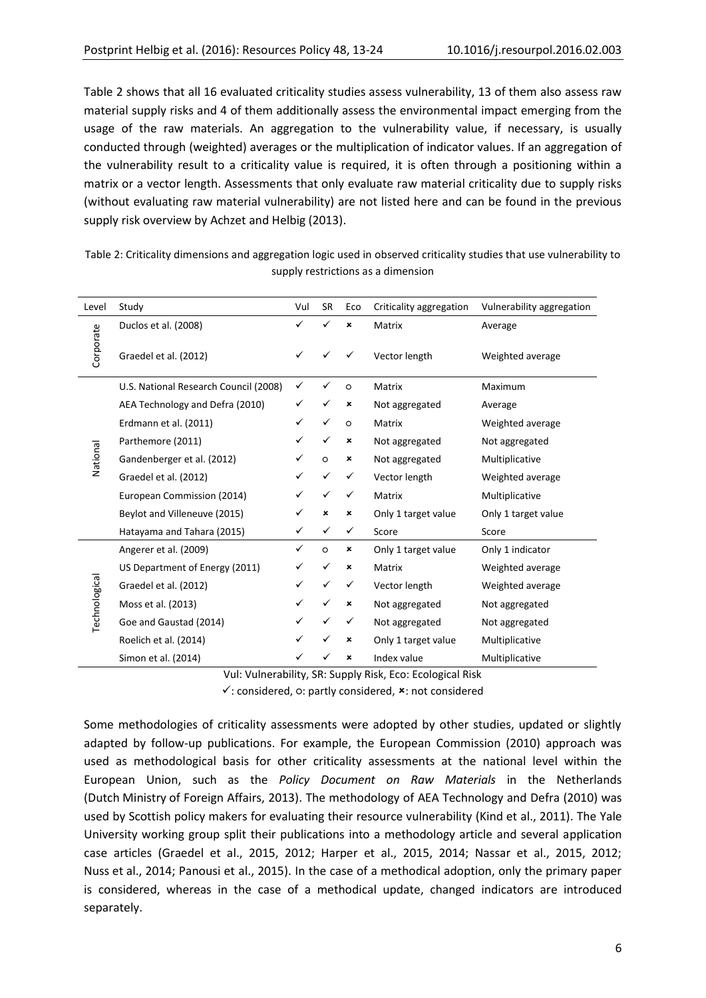[Table 2](#page-6-0) shows that all 16 evaluated criticality studies assess vulnerability, 13 of them also assess raw material supply risks and 4 of them additionally assess the environmental impact emerging from the usage of the raw materials. An aggregation to the vulnerability value, if necessary, is usually conducted through (weighted) averages or the multiplication of indicator values. If an aggregation of the vulnerability result to a criticality value is required, it is often through a positioning within a matrix or a vector length. Assessments that only evaluate raw material criticality due to supply risks (without evaluating raw material vulnerability) are not listed here and can be found in the previous supply risk overview by Achzet and Helbig (2013).

<span id="page-6-0"></span>Table 2: Criticality dimensions and aggregation logic used in observed criticality studies that use vulnerability to supply restrictions as a dimension

| Level         | Study                                 | Vul                 | SR             | Eco                       | Criticality aggregation | Vulnerability aggregation |
|---------------|---------------------------------------|---------------------|----------------|---------------------------|-------------------------|---------------------------|
|               | Duclos et al. (2008)                  | ✓                   |                | $\boldsymbol{\mathsf{x}}$ | Matrix                  | Average                   |
| Corporate     | Graedel et al. (2012)                 |                     |                |                           | Vector length           | Weighted average          |
|               | U.S. National Research Council (2008) |                     |                | $\circ$                   | Matrix                  | <b>Maximum</b>            |
|               | AEA Technology and Defra (2010)       | Not aggregated<br>× |                | Average                   |                         |                           |
|               | Erdmann et al. (2011)                 |                     |                | $\circ$                   | Matrix                  | Weighted average          |
|               | Parthemore (2011)                     |                     |                | ×                         | Not aggregated          | Not aggregated            |
| National      | Gandenberger et al. (2012)            |                     | O              | ×                         | Not aggregated          | Multiplicative            |
|               | Graedel et al. (2012)                 |                     |                | ✓                         | Vector length           | Weighted average          |
|               | European Commission (2014)            |                     |                | ✓                         | Matrix                  | Multiplicative            |
|               | Beylot and Villeneuve (2015)          | ✓                   | ×              | ×                         | Only 1 target value     | Only 1 target value       |
|               | Hatayama and Tahara (2015)            | ✓                   | ✓              | $\checkmark$              | Score                   | Score                     |
|               | Angerer et al. (2009)                 | ✓                   | $\circ$        | ×                         | Only 1 target value     | Only 1 indicator          |
|               | US Department of Energy (2011)        |                     |                | ×                         | Matrix                  | Weighted average          |
|               | Graedel et al. (2012)                 | ✓                   | ✓              | ✓                         | Vector length           | Weighted average          |
| Technological | Moss et al. (2013)                    |                     |                | ×                         | Not aggregated          | Not aggregated            |
|               | Goe and Gaustad (2014)<br>✓           |                     | Not aggregated | Not aggregated            |                         |                           |
|               | Roelich et al. (2014)                 |                     |                | Only 1 target value<br>×  |                         | Multiplicative            |
|               | Simon et al. (2014)                   |                     |                | ×                         | Index value             | Multiplicative            |

Vul: Vulnerability, SR: Supply Risk, Eco: Ecological Risk

: considered, ○: partly considered, : not considered

Some methodologies of criticality assessments were adopted by other studies, updated or slightly adapted by follow-up publications. For example, the European Commission (2010) approach was used as methodological basis for other criticality assessments at the national level within the European Union, such as the *Policy Document on Raw Materials* in the Netherlands (Dutch Ministry of Foreign Affairs, 2013). The methodology of AEA Technology and Defra (2010) was used by Scottish policy makers for evaluating their resource vulnerability (Kind et al., 2011). The Yale University working group split their publications into a methodology article and several application case articles (Graedel et al., 2015, 2012; Harper et al., 2015, 2014; Nassar et al., 2015, 2012; Nuss et al., 2014; Panousi et al., 2015). In the case of a methodical adoption, only the primary paper is considered, whereas in the case of a methodical update, changed indicators are introduced separately.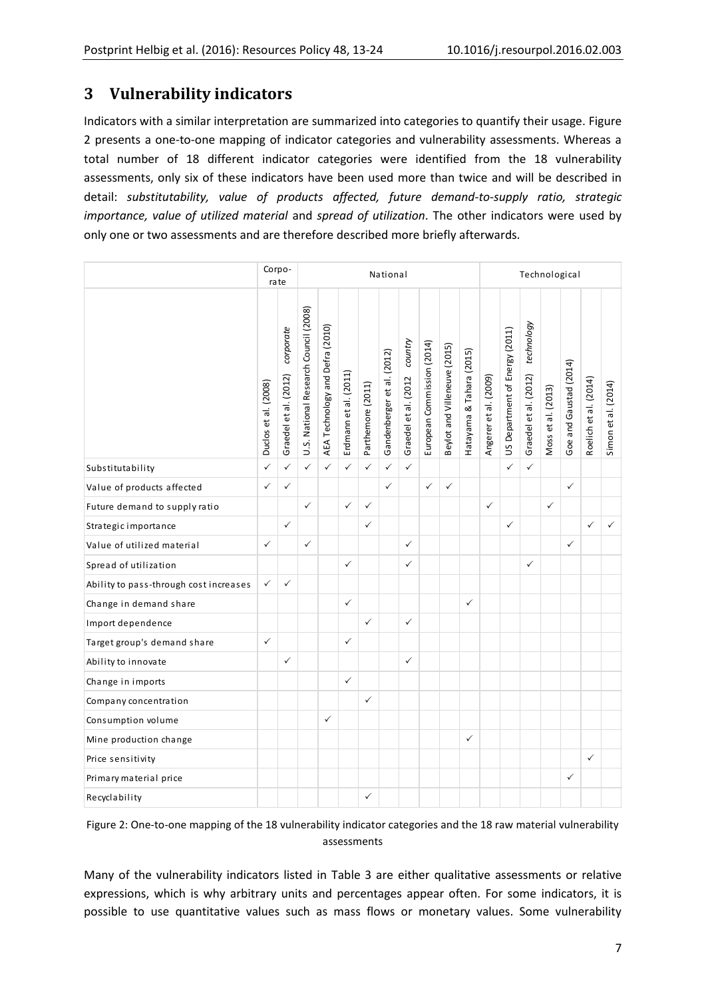# **3 Vulnerability indicators**

Indicators with a similar interpretation are summarized into categories to quantify their usage. [Figure](#page-7-0)  [2](#page-7-0) presents a one-to-one mapping of indicator categories and vulnerability assessments. Whereas a total number of 18 different indicator categories were identified from the 18 vulnerability assessments, only six of these indicators have been used more than twice and will be described in detail: *substitutability, value of products affected, future demand-to-supply ratio, strategic importance, value of utilized material* and *spread of utilization*. The other indicators were used by only one or two assessments and are therefore described more briefly afterwards.

|                                        | Corpo-               | rate                               |                                       |                                 |                       |                   | National                   |                                 |                            |                              |                          |                       | Technological                  |                                     |                    |                        |                       |                     |  |  |
|----------------------------------------|----------------------|------------------------------------|---------------------------------------|---------------------------------|-----------------------|-------------------|----------------------------|---------------------------------|----------------------------|------------------------------|--------------------------|-----------------------|--------------------------------|-------------------------------------|--------------------|------------------------|-----------------------|---------------------|--|--|
|                                        | Duclos et al. (2008) | corporate<br>Graedel et al. (2012) | U.S. National Research Council (2008) | AEA Technology and Defra (2010) | Erdmann et al. (2011) | Parthemore (2011) | Gandenberger et al. (2012) | country<br>Graedel et al. (2012 | European Commission (2014) | Beylot and Villeneuve (2015) | Hatayama & Tahara (2015) | Angerer et al. (2009) | US Department of Energy (2011) | technology<br>Graedel et al. (2012) | Moss et al. (2013) | Goe and Gaustad (2014) | Roelich et al. (2014) | Simon et al. (2014) |  |  |
| Substitutability                       | $\checkmark$         | $\checkmark$                       | $\checkmark$                          | $\checkmark$                    | $\checkmark$          | $\checkmark$      | $\checkmark$               | $\checkmark$                    |                            |                              |                          |                       | $\checkmark$                   | $\checkmark$                        |                    |                        |                       |                     |  |  |
| Value of products affected             | ✓                    | $\checkmark$                       |                                       |                                 |                       |                   | $\checkmark$               |                                 | $\checkmark$               | $\checkmark$                 |                          |                       |                                |                                     |                    | $\checkmark$           |                       |                     |  |  |
| Future demand to supply ratio          |                      |                                    | $\checkmark$                          |                                 | $\checkmark$          | $\checkmark$      |                            |                                 |                            |                              |                          | $\checkmark$          |                                |                                     | $\checkmark$       |                        |                       |                     |  |  |
| Strategic importance                   |                      | $\checkmark$                       |                                       |                                 |                       | $\checkmark$      |                            |                                 |                            |                              |                          |                       | $\checkmark$                   |                                     |                    |                        | $\checkmark$          | $\checkmark$        |  |  |
| Value of utilized material             | ✓                    |                                    | $\checkmark$                          |                                 |                       |                   |                            | $\checkmark$                    |                            |                              |                          |                       |                                |                                     |                    | ✓                      |                       |                     |  |  |
| Spread of utilization                  |                      |                                    |                                       |                                 | $\checkmark$          |                   |                            | $\checkmark$                    |                            |                              |                          |                       |                                | $\checkmark$                        |                    |                        |                       |                     |  |  |
| Ability to pass-through cost increases | $\checkmark$         | $\checkmark$                       |                                       |                                 |                       |                   |                            |                                 |                            |                              |                          |                       |                                |                                     |                    |                        |                       |                     |  |  |
| Change in demand share                 |                      |                                    |                                       |                                 | $\checkmark$          |                   |                            |                                 |                            |                              | $\checkmark$             |                       |                                |                                     |                    |                        |                       |                     |  |  |
| Import dependence                      |                      |                                    |                                       |                                 |                       | $\checkmark$      |                            | $\checkmark$                    |                            |                              |                          |                       |                                |                                     |                    |                        |                       |                     |  |  |
| Target group's demand share            | $\checkmark$         |                                    |                                       |                                 | $\checkmark$          |                   |                            |                                 |                            |                              |                          |                       |                                |                                     |                    |                        |                       |                     |  |  |
| Ability to innovate                    |                      | $\checkmark$                       |                                       |                                 |                       |                   |                            | $\checkmark$                    |                            |                              |                          |                       |                                |                                     |                    |                        |                       |                     |  |  |
| Change in imports                      |                      |                                    |                                       |                                 | $\checkmark$          |                   |                            |                                 |                            |                              |                          |                       |                                |                                     |                    |                        |                       |                     |  |  |
| Company concentration                  |                      |                                    |                                       |                                 |                       | $\checkmark$      |                            |                                 |                            |                              |                          |                       |                                |                                     |                    |                        |                       |                     |  |  |
| Consumption volume                     |                      |                                    |                                       | $\checkmark$                    |                       |                   |                            |                                 |                            |                              |                          |                       |                                |                                     |                    |                        |                       |                     |  |  |
| Mine production change                 |                      |                                    |                                       |                                 |                       |                   |                            |                                 |                            |                              | $\checkmark$             |                       |                                |                                     |                    |                        |                       |                     |  |  |
| Price sensitivity                      |                      |                                    |                                       |                                 |                       |                   |                            |                                 |                            |                              |                          |                       |                                |                                     |                    |                        | $\checkmark$          |                     |  |  |
| Primary material price                 |                      |                                    |                                       |                                 |                       |                   |                            |                                 |                            |                              |                          |                       |                                |                                     |                    | ✓                      |                       |                     |  |  |
| Recyclability                          |                      |                                    |                                       |                                 |                       | ✓                 |                            |                                 |                            |                              |                          |                       |                                |                                     |                    |                        |                       |                     |  |  |

<span id="page-7-0"></span>Figure 2: One-to-one mapping of the 18 vulnerability indicator categories and the 18 raw material vulnerability assessments

Many of the vulnerability indicators listed in [Table 3](#page-8-0) are either qualitative assessments or relative expressions, which is why arbitrary units and percentages appear often. For some indicators, it is possible to use quantitative values such as mass flows or monetary values. Some vulnerability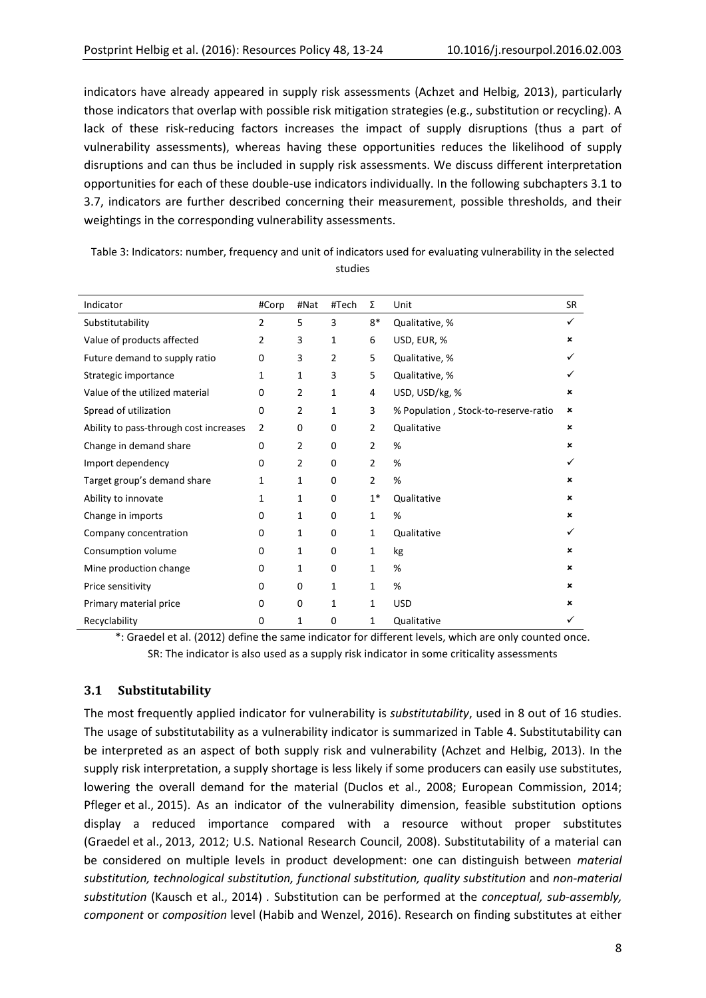indicators have already appeared in supply risk assessments (Achzet and Helbig, 2013), particularly those indicators that overlap with possible risk mitigation strategies (e.g., substitution or recycling). A lack of these risk-reducing factors increases the impact of supply disruptions (thus a part of vulnerability assessments), whereas having these opportunities reduces the likelihood of supply disruptions and can thus be included in supply risk assessments. We discuss different interpretation opportunities for each of these double-use indicators individually. In the following subchapters 3.1 to 3.7, indicators are further described concerning their measurement, possible thresholds, and their weightings in the corresponding vulnerability assessments.

|                  |   | studies                        | -                 |           |
|------------------|---|--------------------------------|-------------------|-----------|
| Indicator        |   | #Corp #Nat #Tech $\Sigma$ Unit |                   | <b>SR</b> |
| Substitutability | 5 | - 3                            | 8* Qualitative, % |           |

Value of products affected  $\begin{array}{cccc} 2 & 3 & 1 & 6 & \text{USD, EUR}, \text{\%} \end{array}$ 

Strategic importance  $\begin{array}{ccccccccc}\n1 & 1 & 3 & 5 & \text{Qualitative, } \% & & & \checkmark\n\end{array}$ 

Spread of utilization 0 2 1 3 % Population , Stock-to-reserve-ratio  $\star$ Ability to pass-through cost increases 2 0 0 2 Qualitative  $\boldsymbol{\ast}$ Change in demand share **0** 2 0 2 %

Target group's demand share  $1 \t 1 \t 0 \t 2 \t \%$ Ability to innovate 1 1 1 0 1<sup>\*</sup> Qualitative **\*** Change in imports  $0 \t 1 \t 0 \t 1 \t \frac{9}{2}$ 

Consumption volume 0 1 0 1 kg  $\times$ Mine production change  $\begin{array}{cccc} 0 & 1 & 0 & 1 & \% \\ \end{array}$ 

Primary material price  $\begin{array}{ccccccc} & 0 & 0 & 1 & 1 & \text{USD} & & & \text{\textbf{.}}\\ \end{array}$ 

Future demand to supply ratio  $0$  3 2 5 Qualitative, %

Value of the utilized material  $\begin{array}{cccc} 0 & 2 & 1 & 4 & \text{USD, USD/kg, %} \end{array}$ 

Import dependency  $0$  2 0 2 %

Price sensitivity  $0 \t 0 \t 1 \t 1 \t 8$ 

Company concentration <br>
0 1 0 1 Qualitative

<span id="page-8-0"></span>Table 3: Indicators: number, frequency and unit of indicators used for evaluating vulnerability in the selected

Recyclability 0 1 0 1 Qualitative \*: Graedel et al. (2012) define the same indicator for different levels, which are only counted once. SR: The indicator is also used as a supply risk indicator in some criticality assessments

#### **3.1 Substitutability**

The most frequently applied indicator for vulnerability is *substitutability*, used in 8 out of 16 studies. The usage of substitutability as a vulnerability indicator is summarized in [Table 4.](#page-10-0) Substitutability can be interpreted as an aspect of both supply risk and vulnerability (Achzet and Helbig, 2013). In the supply risk interpretation, a supply shortage is less likely if some producers can easily use substitutes, lowering the overall demand for the material (Duclos et al., 2008; European Commission, 2014; Pfleger et al., 2015). As an indicator of the vulnerability dimension, feasible substitution options display a reduced importance compared with a resource without proper substitutes (Graedel et al., 2013, 2012; U.S. National Research Council, 2008). Substitutability of a material can be considered on multiple levels in product development: one can distinguish between *material substitution, technological substitution, functional substitution, quality substitution* and *non-material substitution* (Kausch et al., 2014) *.* Substitution can be performed at the *conceptual, sub-assembly, component* or *composition* level (Habib and Wenzel, 2016). Research on finding substitutes at either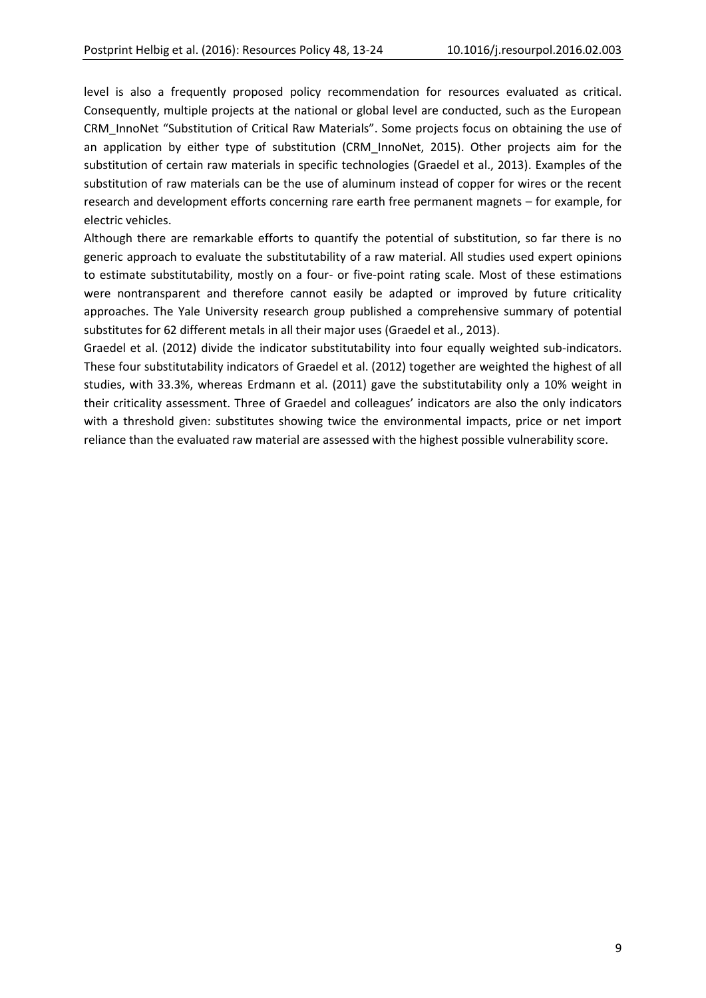level is also a frequently proposed policy recommendation for resources evaluated as critical. Consequently, multiple projects at the national or global level are conducted, such as the European CRM\_InnoNet "Substitution of Critical Raw Materials". Some projects focus on obtaining the use of an application by either type of substitution (CRM\_InnoNet, 2015). Other projects aim for the substitution of certain raw materials in specific technologies (Graedel et al., 2013). Examples of the substitution of raw materials can be the use of aluminum instead of copper for wires or the recent research and development efforts concerning rare earth free permanent magnets – for example, for electric vehicles.

Although there are remarkable efforts to quantify the potential of substitution, so far there is no generic approach to evaluate the substitutability of a raw material. All studies used expert opinions to estimate substitutability, mostly on a four- or five-point rating scale. Most of these estimations were nontransparent and therefore cannot easily be adapted or improved by future criticality approaches. The Yale University research group published a comprehensive summary of potential substitutes for 62 different metals in all their major uses (Graedel et al., 2013).

Graedel et al. (2012) divide the indicator substitutability into four equally weighted sub-indicators. These four substitutability indicators of Graedel et al. (2012) together are weighted the highest of all studies, with 33.3%, whereas Erdmann et al. (2011) gave the substitutability only a 10% weight in their criticality assessment. Three of Graedel and colleagues' indicators are also the only indicators with a threshold given: substitutes showing twice the environmental impacts, price or net import reliance than the evaluated raw material are assessed with the highest possible vulnerability score.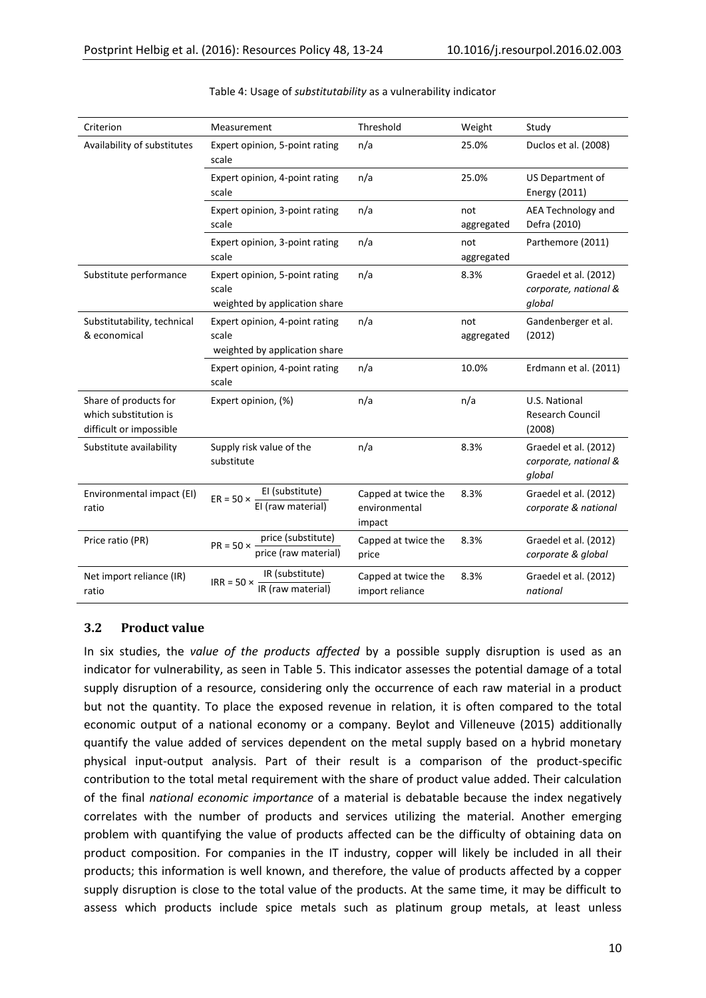<span id="page-10-0"></span>

| Criterion                                                                 | Measurement                                                              | Threshold                                      | Weight            | Study                                                    |
|---------------------------------------------------------------------------|--------------------------------------------------------------------------|------------------------------------------------|-------------------|----------------------------------------------------------|
| Availability of substitutes                                               | Expert opinion, 5-point rating<br>scale                                  | n/a                                            | 25.0%             | Duclos et al. (2008)                                     |
|                                                                           | Expert opinion, 4-point rating<br>scale                                  | n/a                                            | 25.0%             | US Department of<br>Energy (2011)                        |
|                                                                           | Expert opinion, 3-point rating<br>scale                                  | n/a                                            | not<br>aggregated | AEA Technology and<br>Defra (2010)                       |
|                                                                           | Expert opinion, 3-point rating<br>scale                                  | n/a                                            | not<br>aggregated | Parthemore (2011)                                        |
| Substitute performance                                                    | Expert opinion, 5-point rating<br>scale<br>weighted by application share | n/a                                            | 8.3%              | Graedel et al. (2012)<br>corporate, national &<br>global |
| Substitutability, technical<br>& economical                               | Expert opinion, 4-point rating<br>scale<br>weighted by application share | n/a                                            | not<br>aggregated | Gandenberger et al.<br>(2012)                            |
|                                                                           | Expert opinion, 4-point rating<br>scale                                  | n/a                                            | 10.0%             | Erdmann et al. (2011)                                    |
| Share of products for<br>which substitution is<br>difficult or impossible | Expert opinion, (%)                                                      | n/a                                            | n/a               | U.S. National<br><b>Research Council</b><br>(2008)       |
| Substitute availability                                                   | Supply risk value of the<br>substitute                                   | n/a                                            | 8.3%              | Graedel et al. (2012)<br>corporate, national &<br>global |
| Environmental impact (EI)<br>ratio                                        | El (substitute)<br>$ER = 50 \times$<br>El (raw material)                 | Capped at twice the<br>environmental<br>impact | 8.3%              | Graedel et al. (2012)<br>corporate & national            |
| Price ratio (PR)                                                          | price (substitute)<br>$PR = 50 \times$<br>price (raw material)           | Capped at twice the<br>price                   | 8.3%              | Graedel et al. (2012)<br>corporate & global              |
| Net import reliance (IR)<br>ratio                                         | IR (substitute)<br>$IRR = 50 \times$<br>IR (raw material)                | Capped at twice the<br>import reliance         | 8.3%              | Graedel et al. (2012)<br>national                        |

Table 4: Usage of *substitutability* as a vulnerability indicator

#### **3.2 Product value**

In six studies, the *value of the products affected* by a possible supply disruption is used as an indicator for vulnerability, as seen in [Table 5.](#page-11-0) This indicator assesses the potential damage of a total supply disruption of a resource, considering only the occurrence of each raw material in a product but not the quantity. To place the exposed revenue in relation, it is often compared to the total economic output of a national economy or a company. Beylot and Villeneuve (2015) additionally quantify the value added of services dependent on the metal supply based on a hybrid monetary physical input-output analysis. Part of their result is a comparison of the product-specific contribution to the total metal requirement with the share of product value added. Their calculation of the final *national economic importance* of a material is debatable because the index negatively correlates with the number of products and services utilizing the material. Another emerging problem with quantifying the value of products affected can be the difficulty of obtaining data on product composition. For companies in the IT industry, copper will likely be included in all their products; this information is well known, and therefore, the value of products affected by a copper supply disruption is close to the total value of the products. At the same time, it may be difficult to assess which products include spice metals such as platinum group metals, at least unless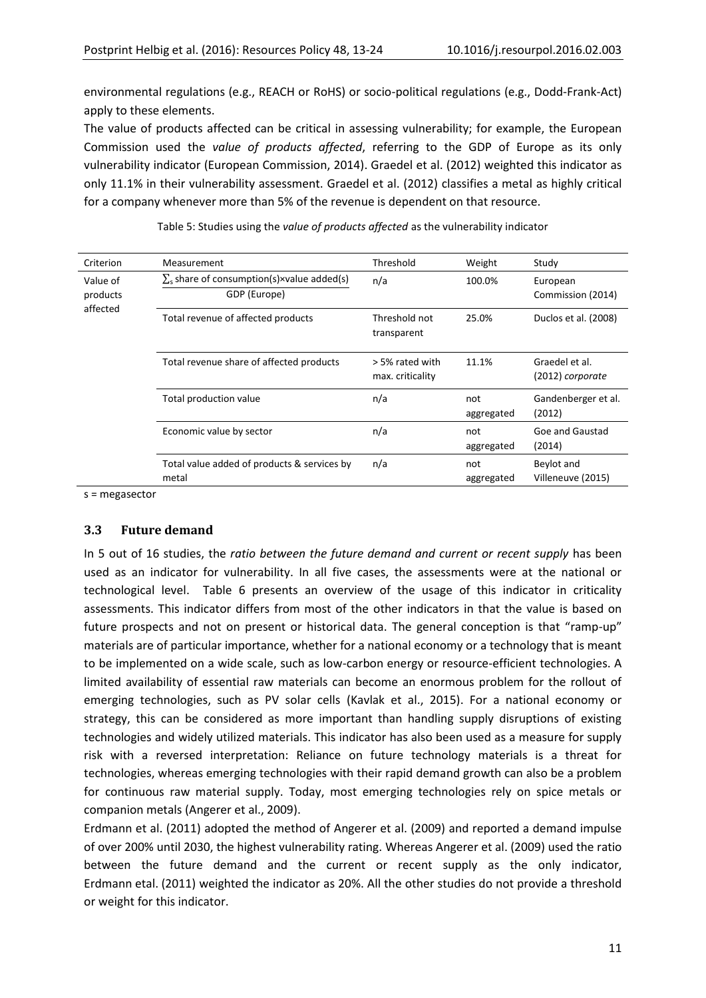environmental regulations (e.g., REACH or RoHS) or socio-political regulations (e.g., Dodd-Frank-Act) apply to these elements.

The value of products affected can be critical in assessing vulnerability; for example, the European Commission used the *value of products affected*, referring to the GDP of Europe as its only vulnerability indicator (European Commission, 2014). Graedel et al. (2012) weighted this indicator as only 11.1% in their vulnerability assessment. Graedel et al. (2012) classifies a metal as highly critical for a company whenever more than 5% of the revenue is dependent on that resource.

<span id="page-11-0"></span>

| Criterion            | Measurement                                                      | Threshold                           | Weight            | Study                              |  |  |
|----------------------|------------------------------------------------------------------|-------------------------------------|-------------------|------------------------------------|--|--|
| Value of<br>products | $\sum_s$ share of consumption(s) xvalue added(s)<br>GDP (Europe) | n/a                                 | 100.0%            | European<br>Commission (2014)      |  |  |
| affected             | Total revenue of affected products                               | Threshold not<br>transparent        | 25.0%             | Duclos et al. (2008)               |  |  |
|                      | Total revenue share of affected products                         | > 5% rated with<br>max. criticality | 11.1%             | Graedel et al.<br>(2012) corporate |  |  |
|                      | Total production value                                           | n/a                                 | not<br>aggregated | Gandenberger et al.<br>(2012)      |  |  |
|                      | Economic value by sector                                         | n/a                                 | not<br>aggregated | Goe and Gaustad<br>(2014)          |  |  |
|                      | Total value added of products & services by<br>metal             | n/a                                 | not<br>aggregated | Beylot and<br>Villeneuve (2015)    |  |  |

Table 5: Studies using the *value of products affected* as the vulnerability indicator

s = megasector

#### **3.3 Future demand**

In 5 out of 16 studies, the *ratio between the future demand and current or recent supply* has been used as an indicator for vulnerability. In all five cases, the assessments were at the national or technological level. [Table 6](#page-12-0) presents an overview of the usage of this indicator in criticality assessments. This indicator differs from most of the other indicators in that the value is based on future prospects and not on present or historical data. The general conception is that "ramp-up" materials are of particular importance, whether for a national economy or a technology that is meant to be implemented on a wide scale, such as low-carbon energy or resource-efficient technologies. A limited availability of essential raw materials can become an enormous problem for the rollout of emerging technologies, such as PV solar cells (Kavlak et al., 2015). For a national economy or strategy, this can be considered as more important than handling supply disruptions of existing technologies and widely utilized materials. This indicator has also been used as a measure for supply risk with a reversed interpretation: Reliance on future technology materials is a threat for technologies, whereas emerging technologies with their rapid demand growth can also be a problem for continuous raw material supply. Today, most emerging technologies rely on spice metals or companion metals (Angerer et al., 2009).

Erdmann et al. (2011) adopted the method of Angerer et al. (2009) and reported a demand impulse of over 200% until 2030, the highest vulnerability rating. Whereas Angerer et al. (2009) used the ratio between the future demand and the current or recent supply as the only indicator, Erdmann etal. (2011) weighted the indicator as 20%. All the other studies do not provide a threshold or weight for this indicator.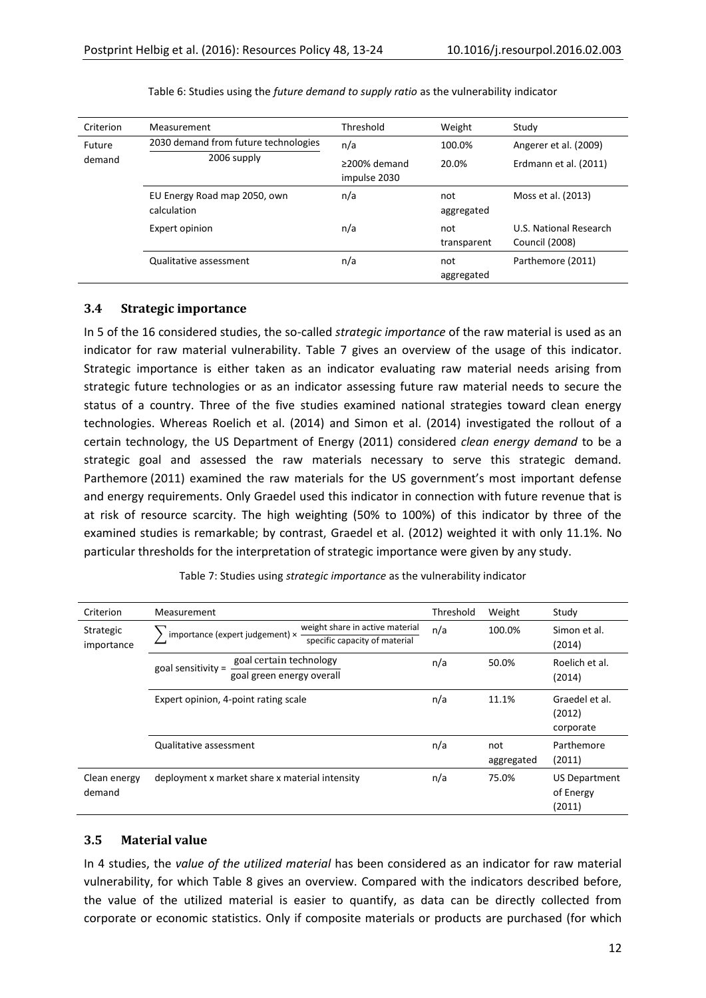<span id="page-12-0"></span>

| Criterion | Measurement                                 | Threshold                          | Weight             | Study                                           |
|-----------|---------------------------------------------|------------------------------------|--------------------|-------------------------------------------------|
| Future    | 2030 demand from future technologies        | n/a                                | 100.0%             | Angerer et al. (2009)                           |
| demand    | 2006 supply                                 | $\geq$ 200% demand<br>impulse 2030 | 20.0%              | Erdmann et al. (2011)                           |
|           | EU Energy Road map 2050, own<br>calculation | n/a                                | not<br>aggregated  | Moss et al. (2013)                              |
|           | Expert opinion                              | n/a                                | not<br>transparent | U.S. National Research<br><b>Council (2008)</b> |
|           | Qualitative assessment                      | n/a                                | not<br>aggregated  | Parthemore (2011)                               |

Table 6: Studies using the *future demand to supply ratio* as the vulnerability indicator

#### **3.4 Strategic importance**

In 5 of the 16 considered studies, the so-called *strategic importance* of the raw material is used as an indicator for raw material vulnerability. [Table 7](#page-12-1) gives an overview of the usage of this indicator. Strategic importance is either taken as an indicator evaluating raw material needs arising from strategic future technologies or as an indicator assessing future raw material needs to secure the status of a country. Three of the five studies examined national strategies toward clean energy technologies. Whereas Roelich et al. (2014) and Simon et al. (2014) investigated the rollout of a certain technology, the US Department of Energy (2011) considered *clean energy demand* to be a strategic goal and assessed the raw materials necessary to serve this strategic demand. Parthemore (2011) examined the raw materials for the US government's most important defense and energy requirements. Only Graedel used this indicator in connection with future revenue that is at risk of resource scarcity. The high weighting (50% to 100%) of this indicator by three of the examined studies is remarkable; by contrast, Graedel et al. (2012) weighted it with only 11.1%. No particular thresholds for the interpretation of strategic importance were given by any study.

<span id="page-12-1"></span>

| Criterion               | Measurement                                                                                         | Threshold | Weight            | Study                                       |
|-------------------------|-----------------------------------------------------------------------------------------------------|-----------|-------------------|---------------------------------------------|
| Strategic<br>importance | weight share in active material<br>importance (expert judgement) ×<br>specific capacity of material | n/a       | 100.0%            | Simon et al.<br>(2014)                      |
|                         | goal certain technology<br>goal sensitivity $=$<br>goal green energy overall                        | n/a       | 50.0%             | Roelich et al.<br>(2014)                    |
|                         | Expert opinion, 4-point rating scale                                                                | n/a       | 11.1%             | Graedel et al.<br>(2012)<br>corporate       |
|                         | Qualitative assessment                                                                              | n/a       | not<br>aggregated | Parthemore<br>(2011)                        |
| Clean energy<br>demand  | deployment x market share x material intensity                                                      | n/a       | 75.0%             | <b>US Department</b><br>of Energy<br>(2011) |

Table 7: Studies using *strategic importance* as the vulnerability indicator

#### **3.5 Material value**

In 4 studies, the *value of the utilized material* has been considered as an indicator for raw material vulnerability, for which [Table 8](#page-13-0) gives an overview. Compared with the indicators described before, the value of the utilized material is easier to quantify, as data can be directly collected from corporate or economic statistics. Only if composite materials or products are purchased (for which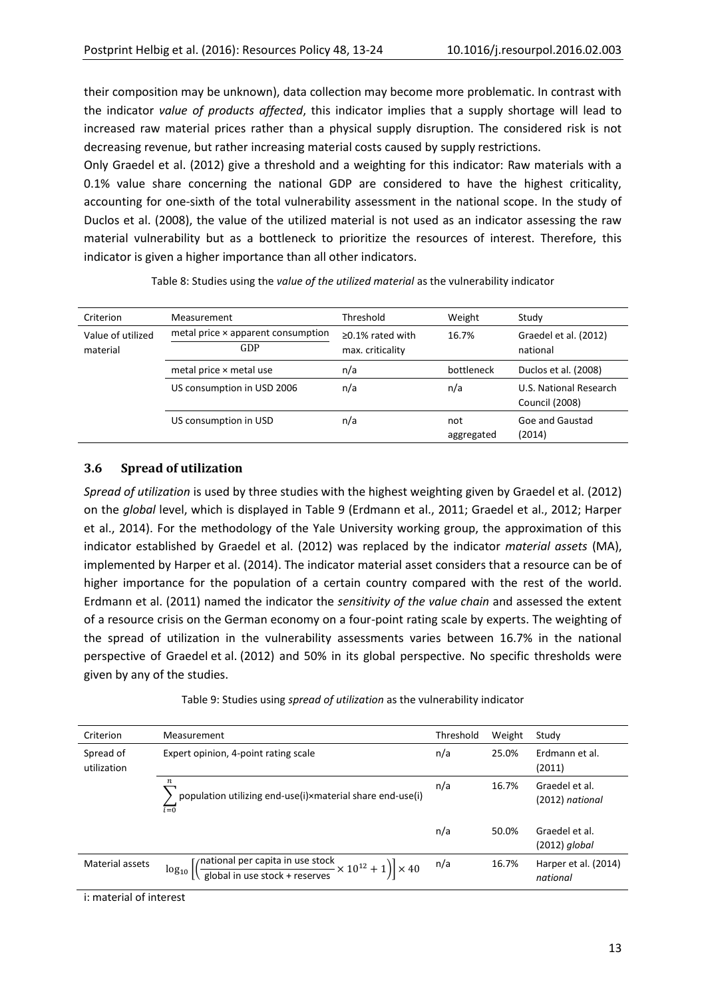their composition may be unknown), data collection may become more problematic. In contrast with the indicator *value of products affected*, this indicator implies that a supply shortage will lead to increased raw material prices rather than a physical supply disruption. The considered risk is not decreasing revenue, but rather increasing material costs caused by supply restrictions.

Only Graedel et al. (2012) give a threshold and a weighting for this indicator: Raw materials with a 0.1% value share concerning the national GDP are considered to have the highest criticality, accounting for one-sixth of the total vulnerability assessment in the national scope. In the study of Duclos et al. (2008), the value of the utilized material is not used as an indicator assessing the raw material vulnerability but as a bottleneck to prioritize the resources of interest. Therefore, this indicator is given a higher importance than all other indicators.

<span id="page-13-0"></span>

| Criterion                     | Measurement                               | Threshold                                  | Weight            | Study                                           |  |  |
|-------------------------------|-------------------------------------------|--------------------------------------------|-------------------|-------------------------------------------------|--|--|
| Value of utilized<br>material | metal price x apparent consumption<br>GDP | $\geq$ 0.1% rated with<br>max. criticality | 16.7%             | Graedel et al. (2012)<br>national               |  |  |
|                               | metal price x metal use                   | n/a                                        | bottleneck        | Duclos et al. (2008)                            |  |  |
|                               | US consumption in USD 2006                | n/a                                        | n/a               | U.S. National Research<br><b>Council (2008)</b> |  |  |
|                               | US consumption in USD                     | n/a                                        | not<br>aggregated | Goe and Gaustad<br>(2014)                       |  |  |

Table 8: Studies using the *value of the utilized material* as the vulnerability indicator

### **3.6 Spread of utilization**

*Spread of utilization* is used by three studies with the highest weighting given by Graedel et al. (2012) on the *global* level, which is displayed in [Table 9](#page-13-1) (Erdmann et al., 2011; Graedel et al., 2012; Harper et al., 2014). For the methodology of the Yale University working group, the approximation of this indicator established by Graedel et al. (2012) was replaced by the indicator *material assets* (MA), implemented by Harper et al. (2014). The indicator material asset considers that a resource can be of higher importance for the population of a certain country compared with the rest of the world. Erdmann et al. (2011) named the indicator the *sensitivity of the value chain* and assessed the extent of a resource crisis on the German economy on a four-point rating scale by experts. The weighting of the spread of utilization in the vulnerability assessments varies between 16.7% in the national perspective of Graedel et al. (2012) and 50% in its global perspective. No specific thresholds were given by any of the studies.

<span id="page-13-1"></span>

| Criterion                | Measurement                                                                                                                                     | Threshold | Weight | Study                             |
|--------------------------|-------------------------------------------------------------------------------------------------------------------------------------------------|-----------|--------|-----------------------------------|
| Spread of<br>utilization | Expert opinion, 4-point rating scale                                                                                                            | n/a       | 25.0%  | Erdmann et al.<br>(2011)          |
|                          | n<br>population utilizing end-use(i)xmaterial share end-use(i)<br>$i=0$                                                                         | n/a       | 16.7%  | Graedel et al.<br>(2012) national |
|                          |                                                                                                                                                 | n/a       | 50.0%  | Graedel et al.<br>(2012) global   |
| Material assets          | $\left(\frac{\text{mational per capita in use stock}}{\text{global in use stock + reserves}} \times 10^{12} + 1\right) \times 40$<br>$log_{10}$ | n/a       | 16.7%  | Harper et al. (2014)<br>national  |

Table 9: Studies using *spread of utilization* as the vulnerability indicator

i: material of interest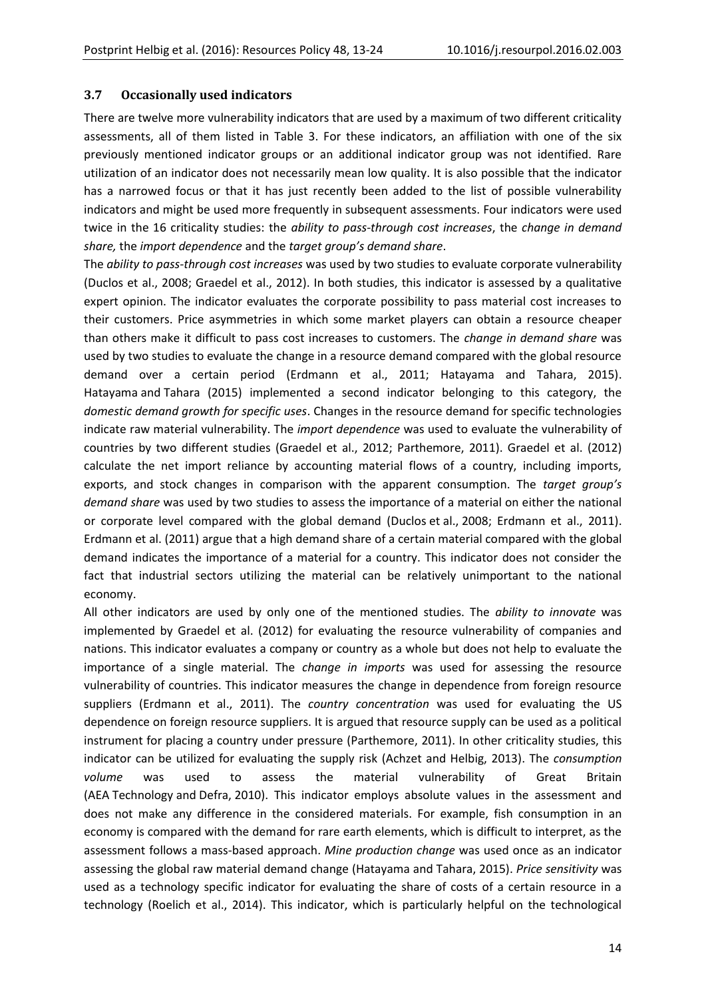#### **3.7 Occasionally used indicators**

There are twelve more vulnerability indicators that are used by a maximum of two different criticality assessments, all of them listed in [Table 3.](#page-8-0) For these indicators, an affiliation with one of the six previously mentioned indicator groups or an additional indicator group was not identified. Rare utilization of an indicator does not necessarily mean low quality. It is also possible that the indicator has a narrowed focus or that it has just recently been added to the list of possible vulnerability indicators and might be used more frequently in subsequent assessments. Four indicators were used twice in the 16 criticality studies: the *ability to pass-through cost increases*, the *change in demand share,* the *import dependence* and the *target group's demand share*.

The *ability to pass-through cost increases* was used by two studies to evaluate corporate vulnerability (Duclos et al., 2008; Graedel et al., 2012). In both studies, this indicator is assessed by a qualitative expert opinion. The indicator evaluates the corporate possibility to pass material cost increases to their customers. Price asymmetries in which some market players can obtain a resource cheaper than others make it difficult to pass cost increases to customers. The *change in demand share* was used by two studies to evaluate the change in a resource demand compared with the global resource demand over a certain period (Erdmann et al., 2011; Hatayama and Tahara, 2015). Hatayama and Tahara (2015) implemented a second indicator belonging to this category, the *domestic demand growth for specific uses*. Changes in the resource demand for specific technologies indicate raw material vulnerability. The *import dependence* was used to evaluate the vulnerability of countries by two different studies (Graedel et al., 2012; Parthemore, 2011). Graedel et al. (2012) calculate the net import reliance by accounting material flows of a country, including imports, exports, and stock changes in comparison with the apparent consumption. The *target group's demand share* was used by two studies to assess the importance of a material on either the national or corporate level compared with the global demand (Duclos et al., 2008; Erdmann et al., 2011). Erdmann et al. (2011) argue that a high demand share of a certain material compared with the global demand indicates the importance of a material for a country. This indicator does not consider the fact that industrial sectors utilizing the material can be relatively unimportant to the national economy.

All other indicators are used by only one of the mentioned studies. The *ability to innovate* was implemented by Graedel et al. (2012) for evaluating the resource vulnerability of companies and nations. This indicator evaluates a company or country as a whole but does not help to evaluate the importance of a single material. The *change in imports* was used for assessing the resource vulnerability of countries. This indicator measures the change in dependence from foreign resource suppliers (Erdmann et al., 2011). The *country concentration* was used for evaluating the US dependence on foreign resource suppliers. It is argued that resource supply can be used as a political instrument for placing a country under pressure (Parthemore, 2011). In other criticality studies, this indicator can be utilized for evaluating the supply risk (Achzet and Helbig, 2013). The *consumption volume* was used to assess the material vulnerability of Great Britain (AEA Technology and Defra, 2010). This indicator employs absolute values in the assessment and does not make any difference in the considered materials. For example, fish consumption in an economy is compared with the demand for rare earth elements, which is difficult to interpret, as the assessment follows a mass-based approach. *Mine production change* was used once as an indicator assessing the global raw material demand change (Hatayama and Tahara, 2015). *Price sensitivity* was used as a technology specific indicator for evaluating the share of costs of a certain resource in a technology (Roelich et al., 2014). This indicator, which is particularly helpful on the technological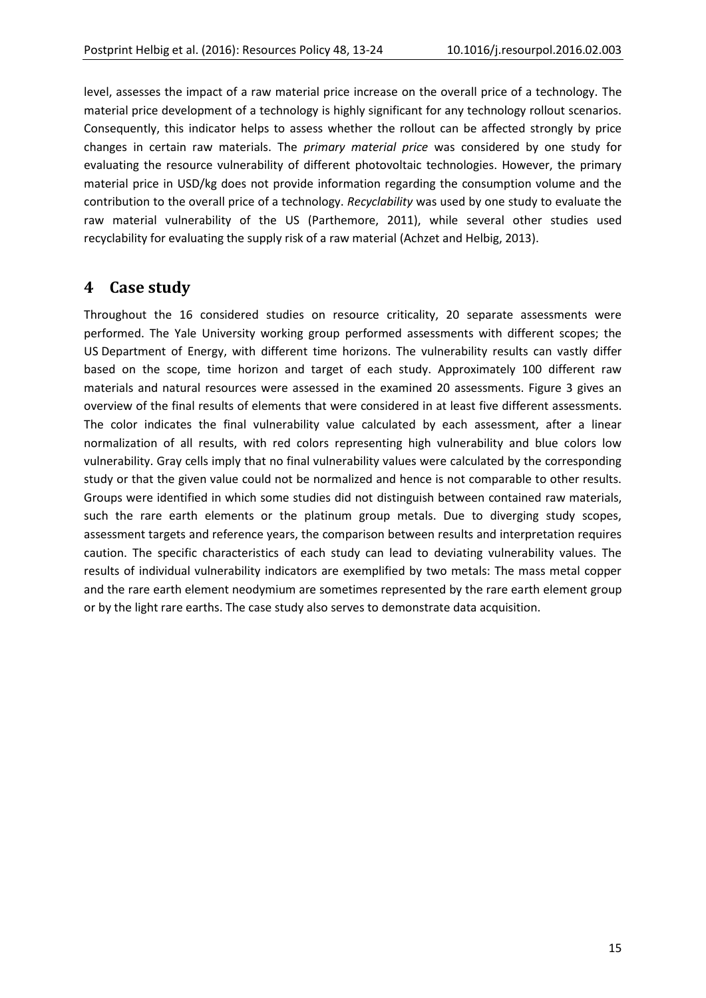level, assesses the impact of a raw material price increase on the overall price of a technology. The material price development of a technology is highly significant for any technology rollout scenarios. Consequently, this indicator helps to assess whether the rollout can be affected strongly by price changes in certain raw materials. The *primary material price* was considered by one study for evaluating the resource vulnerability of different photovoltaic technologies. However, the primary material price in USD/kg does not provide information regarding the consumption volume and the contribution to the overall price of a technology. *Recyclability* was used by one study to evaluate the raw material vulnerability of the US (Parthemore, 2011), while several other studies used recyclability for evaluating the supply risk of a raw material (Achzet and Helbig, 2013).

## **4 Case study**

Throughout the 16 considered studies on resource criticality, 20 separate assessments were performed. The Yale University working group performed assessments with different scopes; the US Department of Energy, with different time horizons. The vulnerability results can vastly differ based on the scope, time horizon and target of each study. Approximately 100 different raw materials and natural resources were assessed in the examined 20 assessments. Figure 3 gives an overview of the final results of elements that were considered in at least five different assessments. The color indicates the final vulnerability value calculated by each assessment, after a linear normalization of all results, with red colors representing high vulnerability and blue colors low vulnerability. Gray cells imply that no final vulnerability values were calculated by the corresponding study or that the given value could not be normalized and hence is not comparable to other results. Groups were identified in which some studies did not distinguish between contained raw materials, such the rare earth elements or the platinum group metals. Due to diverging study scopes, assessment targets and reference years, the comparison between results and interpretation requires caution. The specific characteristics of each study can lead to deviating vulnerability values. The results of individual vulnerability indicators are exemplified by two metals: The mass metal copper and the rare earth element neodymium are sometimes represented by the rare earth element group or by the light rare earths. The case study also serves to demonstrate data acquisition.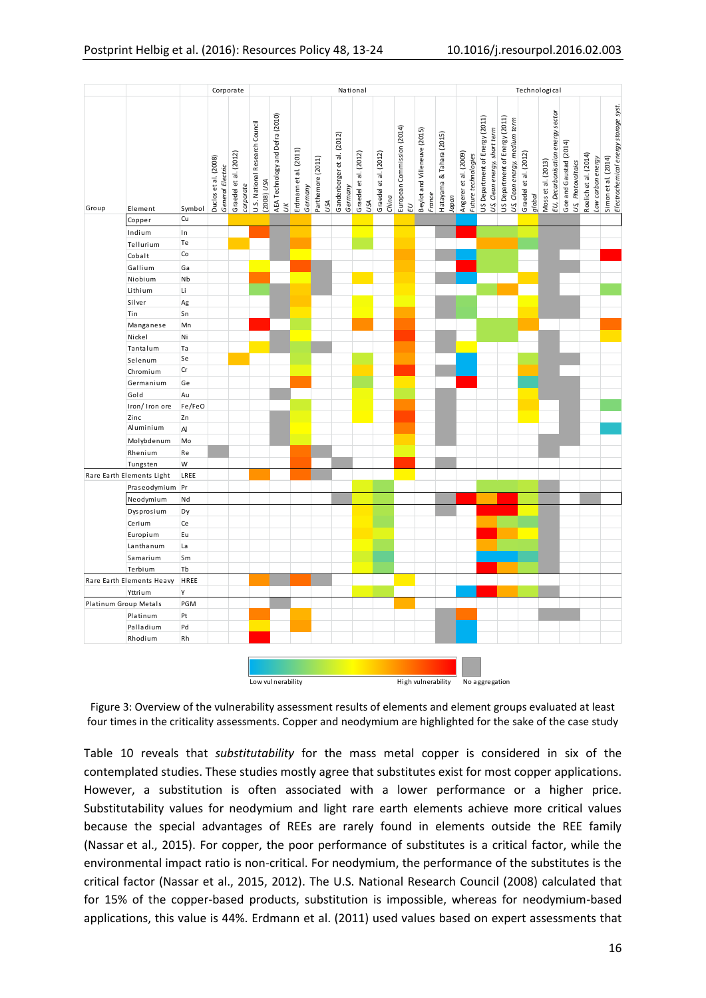|                       |                           |              |                                          | Corporate             |                                | National                        |                       |                          |                            |                       |                       | Technological              |                              |                          |                                              |                                |                              |                                                                 |                       |                                   |                        |                       |                                                                    |
|-----------------------|---------------------------|--------------|------------------------------------------|-----------------------|--------------------------------|---------------------------------|-----------------------|--------------------------|----------------------------|-----------------------|-----------------------|----------------------------|------------------------------|--------------------------|----------------------------------------------|--------------------------------|------------------------------|-----------------------------------------------------------------|-----------------------|-----------------------------------|------------------------|-----------------------|--------------------------------------------------------------------|
|                       |                           |              |                                          | Graedel et al. (2012) | U.S. National Research Council | AEA Technology and Defra (2010) | Erdmann et al. (2011) |                          | Gandenberger et al. (2012) | Graedel et al. (2012) | Graedel et al. (2012) | European Commission (2014) | Beylot and Villeneuve (2015) | Hatayama & Tahara (2015) | Angerer et al. (2009)<br>Future technologies | US Department of Energy (2011) | US, Clean energy, short term | US Department of Energy (2011)<br>US, Clean energy, medium term | Graedel et al. (2012) | EU, Decarbonisation energy sector | Goe and Gaustad (2014) | Roelich et al. (2014) | Simon et al. (2014)<br><i>Electrochemical energy storage syst.</i> |
| Group                 | Element                   | Symbol       | Duclos et al. (2008)<br>General Electric | corporate             | (2008) USA                     | ŬК                              | Germany               | Parthemore (2011)<br>USA | Germany                    | USA                   | China                 | EU                         | France                       | Japan                    |                                              |                                |                              |                                                                 | global                | Moss et al. (2013)                | US, Photovoltaics      |                       | Low carbon energy                                                  |
|                       | Copper                    | Cu           |                                          |                       |                                |                                 |                       |                          |                            |                       |                       |                            |                              |                          |                                              |                                |                              |                                                                 |                       |                                   |                        |                       |                                                                    |
|                       | Indium                    | In           |                                          |                       |                                |                                 |                       |                          |                            |                       |                       |                            |                              |                          |                                              |                                |                              |                                                                 |                       |                                   |                        |                       |                                                                    |
|                       | Tellurium                 | Te           |                                          |                       |                                |                                 |                       |                          |                            |                       |                       |                            |                              |                          |                                              |                                |                              |                                                                 |                       |                                   |                        |                       |                                                                    |
|                       | Cobalt                    | Co           |                                          |                       |                                |                                 |                       |                          |                            |                       |                       |                            |                              |                          |                                              |                                |                              |                                                                 |                       |                                   |                        |                       |                                                                    |
|                       | Gallium                   | Ga           |                                          |                       |                                |                                 |                       |                          |                            |                       |                       |                            |                              |                          |                                              |                                |                              |                                                                 |                       |                                   |                        |                       |                                                                    |
|                       | Niobium                   | Nb           |                                          |                       |                                |                                 |                       |                          |                            |                       |                       |                            |                              |                          |                                              |                                |                              |                                                                 |                       |                                   |                        |                       |                                                                    |
|                       | Lithium                   | Li           |                                          |                       |                                |                                 |                       |                          |                            |                       |                       |                            |                              |                          |                                              |                                |                              |                                                                 |                       |                                   |                        |                       |                                                                    |
|                       | Silver                    | Ag           |                                          |                       |                                |                                 |                       |                          |                            |                       |                       |                            |                              |                          |                                              |                                |                              |                                                                 |                       |                                   |                        |                       |                                                                    |
|                       | Tin                       | Sn           |                                          |                       |                                |                                 |                       |                          |                            |                       |                       |                            |                              |                          |                                              |                                |                              |                                                                 |                       |                                   |                        |                       |                                                                    |
|                       | Manganese                 | Mn           |                                          |                       |                                |                                 |                       |                          |                            |                       |                       |                            |                              |                          |                                              |                                |                              |                                                                 |                       |                                   |                        |                       |                                                                    |
|                       | Nickel                    | Ni           |                                          |                       |                                |                                 |                       |                          |                            |                       |                       |                            |                              |                          |                                              |                                |                              |                                                                 |                       |                                   |                        |                       |                                                                    |
|                       | Tantalum                  | Ta           |                                          |                       |                                |                                 |                       |                          |                            |                       |                       |                            |                              |                          |                                              |                                |                              |                                                                 |                       |                                   |                        |                       |                                                                    |
|                       | Selenum                   | Se           |                                          |                       |                                |                                 |                       |                          |                            |                       |                       |                            |                              |                          |                                              |                                |                              |                                                                 |                       |                                   |                        |                       |                                                                    |
|                       | Chromium                  | Cr           |                                          |                       |                                |                                 |                       |                          |                            |                       |                       |                            |                              |                          |                                              |                                |                              |                                                                 |                       |                                   |                        |                       |                                                                    |
|                       | Germanium                 | Ge           |                                          |                       |                                |                                 |                       |                          |                            |                       |                       |                            |                              |                          |                                              |                                |                              |                                                                 |                       |                                   |                        |                       |                                                                    |
|                       | Gold                      | Au           |                                          |                       |                                |                                 |                       |                          |                            |                       |                       |                            |                              |                          |                                              |                                |                              |                                                                 |                       |                                   |                        |                       |                                                                    |
|                       | Iron/ Iron ore            | Fe/FeO       |                                          |                       |                                |                                 |                       |                          |                            |                       |                       |                            |                              |                          |                                              |                                |                              |                                                                 |                       |                                   |                        |                       |                                                                    |
|                       | Zinc                      | Zn           |                                          |                       |                                |                                 |                       |                          |                            |                       |                       |                            |                              |                          |                                              |                                |                              |                                                                 |                       |                                   |                        |                       |                                                                    |
|                       | Aluminium                 | $\mathsf{A}$ |                                          |                       |                                |                                 |                       |                          |                            |                       |                       |                            |                              |                          |                                              |                                |                              |                                                                 |                       |                                   |                        |                       |                                                                    |
|                       | Molybdenum                | Mo           |                                          |                       |                                |                                 |                       |                          |                            |                       |                       |                            |                              |                          |                                              |                                |                              |                                                                 |                       |                                   |                        |                       |                                                                    |
|                       | Rhenium                   | Re           |                                          |                       |                                |                                 |                       |                          |                            |                       |                       |                            |                              |                          |                                              |                                |                              |                                                                 |                       |                                   |                        |                       |                                                                    |
|                       | Tungsten                  | W            |                                          |                       |                                |                                 |                       |                          |                            |                       |                       |                            |                              |                          |                                              |                                |                              |                                                                 |                       |                                   |                        |                       |                                                                    |
|                       | Rare Earth Elements Light | LREE         |                                          |                       |                                |                                 |                       |                          |                            |                       |                       |                            |                              |                          |                                              |                                |                              |                                                                 |                       |                                   |                        |                       |                                                                    |
|                       | Praseodymium              | Pr           |                                          |                       |                                |                                 |                       |                          |                            |                       |                       |                            |                              |                          |                                              |                                |                              |                                                                 |                       |                                   |                        |                       |                                                                    |
|                       | Neodymium                 | Nd           |                                          |                       |                                |                                 |                       |                          |                            |                       |                       |                            |                              |                          |                                              |                                |                              |                                                                 |                       |                                   |                        |                       |                                                                    |
|                       | Dysprosium                | Dy           |                                          |                       |                                |                                 |                       |                          |                            |                       |                       |                            |                              |                          |                                              |                                |                              |                                                                 |                       |                                   |                        |                       |                                                                    |
|                       | Cerium                    | Ce           |                                          |                       |                                |                                 |                       |                          |                            |                       |                       |                            |                              |                          |                                              |                                |                              |                                                                 |                       |                                   |                        |                       |                                                                    |
|                       | Europium                  | Eu           |                                          |                       |                                |                                 |                       |                          |                            |                       |                       |                            |                              |                          |                                              |                                |                              |                                                                 |                       |                                   |                        |                       |                                                                    |
|                       | Lanthanum                 | La           |                                          |                       |                                |                                 |                       |                          |                            |                       |                       |                            |                              |                          |                                              |                                |                              |                                                                 |                       |                                   |                        |                       |                                                                    |
|                       | Samarium                  | Sm           |                                          |                       |                                |                                 |                       |                          |                            |                       |                       |                            |                              |                          |                                              |                                |                              |                                                                 |                       |                                   |                        |                       |                                                                    |
|                       | Terbium                   | Tb           |                                          |                       |                                |                                 |                       |                          |                            |                       |                       |                            |                              |                          |                                              |                                |                              |                                                                 |                       |                                   |                        |                       |                                                                    |
|                       | Rare Earth Elements Heavy | HREE         |                                          |                       |                                |                                 |                       |                          |                            |                       |                       |                            |                              |                          |                                              |                                |                              |                                                                 |                       |                                   |                        |                       |                                                                    |
|                       | Yttrium                   | Y            |                                          |                       |                                |                                 |                       |                          |                            |                       |                       |                            |                              |                          |                                              |                                |                              |                                                                 |                       |                                   |                        |                       |                                                                    |
| Platinum Group Metals |                           | PGM          |                                          |                       |                                |                                 |                       |                          |                            |                       |                       |                            |                              |                          |                                              |                                |                              |                                                                 |                       |                                   |                        |                       |                                                                    |
|                       | Platinum                  | Pt           |                                          |                       |                                |                                 |                       |                          |                            |                       |                       |                            |                              |                          |                                              |                                |                              |                                                                 |                       |                                   |                        |                       |                                                                    |
|                       | Palladium                 | Pd           |                                          |                       |                                |                                 |                       |                          |                            |                       |                       |                            |                              |                          |                                              |                                |                              |                                                                 |                       |                                   |                        |                       |                                                                    |
|                       | Rhodium                   | Rh           |                                          |                       |                                |                                 |                       |                          |                            |                       |                       |                            |                              |                          |                                              |                                |                              |                                                                 |                       |                                   |                        |                       |                                                                    |
|                       |                           |              |                                          |                       |                                |                                 |                       |                          |                            |                       |                       |                            |                              |                          |                                              |                                |                              |                                                                 |                       |                                   |                        |                       |                                                                    |
|                       |                           |              |                                          |                       |                                | Low vulnerability               |                       |                          |                            |                       |                       |                            | High vulnerability           |                          |                                              | No aggregation                 |                              |                                                                 |                       |                                   |                        |                       |                                                                    |

Figure 3: Overview of the vulnerability assessment results of elements and element groups evaluated at least four times in the criticality assessments. Copper and neodymium are highlighted for the sake of the case study

[Table 10](#page-19-0) reveals that *substitutability* for the mass metal copper is considered in six of the contemplated studies. These studies mostly agree that substitutes exist for most copper applications. However, a substitution is often associated with a lower performance or a higher price. Substitutability values for neodymium and light rare earth elements achieve more critical values because the special advantages of REEs are rarely found in elements outside the REE family (Nassar et al., 2015). For copper, the poor performance of substitutes is a critical factor, while the environmental impact ratio is non-critical. For neodymium, the performance of the substitutes is the critical factor (Nassar et al., 2015, 2012). The U.S. National Research Council (2008) calculated that for 15% of the copper-based products, substitution is impossible, whereas for neodymium-based applications, this value is 44%. Erdmann et al. (2011) used values based on expert assessments that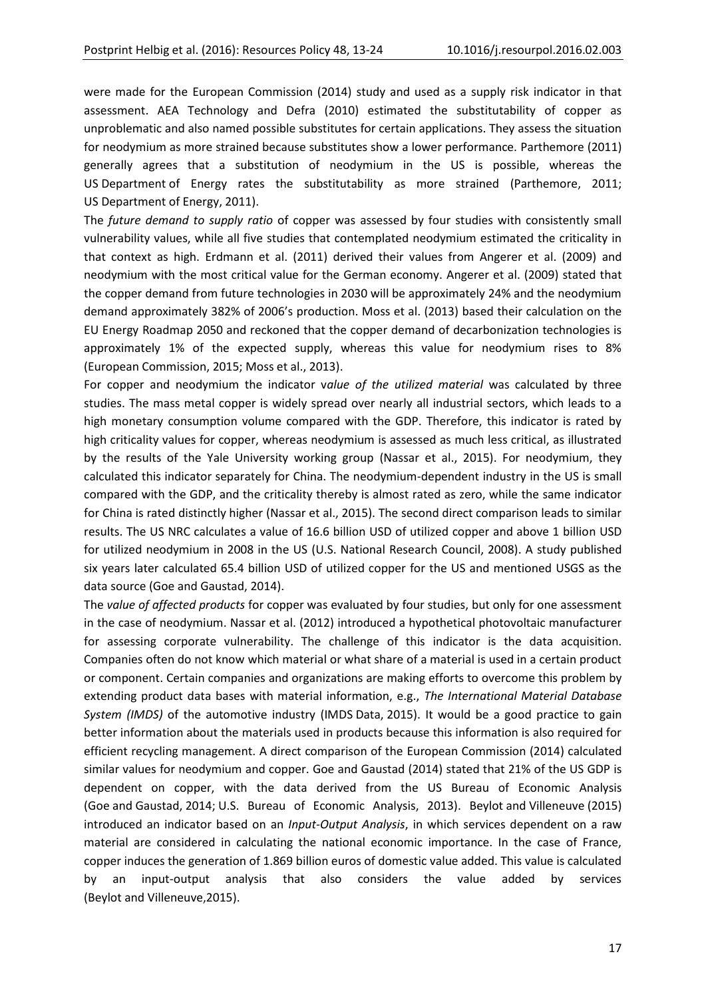were made for the European Commission (2014) study and used as a supply risk indicator in that assessment. AEA Technology and Defra (2010) estimated the substitutability of copper as unproblematic and also named possible substitutes for certain applications. They assess the situation for neodymium as more strained because substitutes show a lower performance. Parthemore (2011) generally agrees that a substitution of neodymium in the US is possible, whereas the US Department of Energy rates the substitutability as more strained (Parthemore, 2011; US Department of Energy, 2011).

The *future demand to supply ratio* of copper was assessed by four studies with consistently small vulnerability values, while all five studies that contemplated neodymium estimated the criticality in that context as high. Erdmann et al. (2011) derived their values from Angerer et al. (2009) and neodymium with the most critical value for the German economy. Angerer et al. (2009) stated that the copper demand from future technologies in 2030 will be approximately 24% and the neodymium demand approximately 382% of 2006's production. Moss et al. (2013) based their calculation on the EU Energy Roadmap 2050 and reckoned that the copper demand of decarbonization technologies is approximately 1% of the expected supply, whereas this value for neodymium rises to 8% (European Commission, 2015; Moss et al., 2013).

For copper and neodymium the indicator v*alue of the utilized material* was calculated by three studies. The mass metal copper is widely spread over nearly all industrial sectors, which leads to a high monetary consumption volume compared with the GDP. Therefore, this indicator is rated by high criticality values for copper, whereas neodymium is assessed as much less critical, as illustrated by the results of the Yale University working group (Nassar et al., 2015). For neodymium, they calculated this indicator separately for China. The neodymium-dependent industry in the US is small compared with the GDP, and the criticality thereby is almost rated as zero, while the same indicator for China is rated distinctly higher (Nassar et al., 2015). The second direct comparison leads to similar results. The US NRC calculates a value of 16.6 billion USD of utilized copper and above 1 billion USD for utilized neodymium in 2008 in the US (U.S. National Research Council, 2008). A study published six years later calculated 65.4 billion USD of utilized copper for the US and mentioned USGS as the data source (Goe and Gaustad, 2014).

The *value of affected products* for copper was evaluated by four studies, but only for one assessment in the case of neodymium. Nassar et al. (2012) introduced a hypothetical photovoltaic manufacturer for assessing corporate vulnerability. The challenge of this indicator is the data acquisition. Companies often do not know which material or what share of a material is used in a certain product or component. Certain companies and organizations are making efforts to overcome this problem by extending product data bases with material information, e.g., *The International Material Database System (IMDS)* of the automotive industry (IMDS Data, 2015). It would be a good practice to gain better information about the materials used in products because this information is also required for efficient recycling management. A direct comparison of the European Commission (2014) calculated similar values for neodymium and copper. Goe and Gaustad (2014) stated that 21% of the US GDP is dependent on copper, with the data derived from the US Bureau of Economic Analysis (Goe and Gaustad, 2014; U.S. Bureau of Economic Analysis, 2013). Beylot and Villeneuve (2015) introduced an indicator based on an *Input-Output Analysis*, in which services dependent on a raw material are considered in calculating the national economic importance. In the case of France, copper induces the generation of 1.869 billion euros of domestic value added. This value is calculated by an input-output analysis that also considers the value added by services (Beylot and Villeneuve,2015).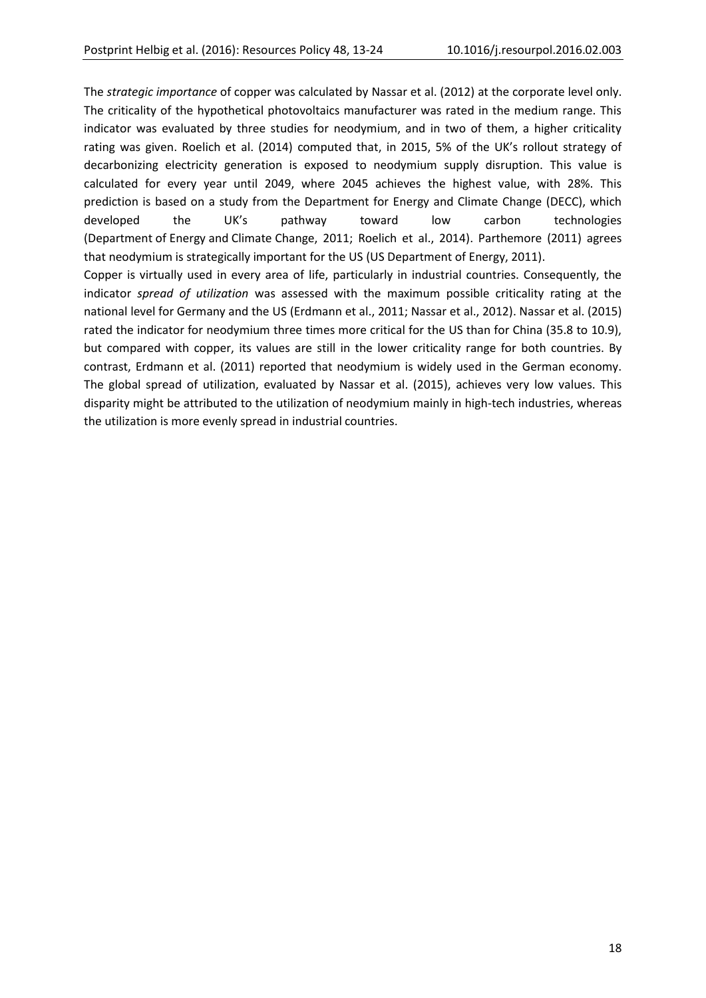The *strategic importance* of copper was calculated by Nassar et al. (2012) at the corporate level only. The criticality of the hypothetical photovoltaics manufacturer was rated in the medium range. This indicator was evaluated by three studies for neodymium, and in two of them, a higher criticality rating was given. Roelich et al. (2014) computed that, in 2015, 5% of the UK's rollout strategy of decarbonizing electricity generation is exposed to neodymium supply disruption. This value is calculated for every year until 2049, where 2045 achieves the highest value, with 28%. This prediction is based on a study from the Department for Energy and Climate Change (DECC), which developed the UK's pathway toward low carbon technologies (Department of Energy and Climate Change, 2011; Roelich et al., 2014). Parthemore (2011) agrees that neodymium is strategically important for the US (US Department of Energy, 2011).

Copper is virtually used in every area of life, particularly in industrial countries. Consequently, the indicator *spread of utilization* was assessed with the maximum possible criticality rating at the national level for Germany and the US (Erdmann et al., 2011; Nassar et al., 2012). Nassar et al. (2015) rated the indicator for neodymium three times more critical for the US than for China (35.8 to 10.9), but compared with copper, its values are still in the lower criticality range for both countries. By contrast, Erdmann et al. (2011) reported that neodymium is widely used in the German economy. The global spread of utilization, evaluated by Nassar et al. (2015), achieves very low values. This disparity might be attributed to the utilization of neodymium mainly in high-tech industries, whereas the utilization is more evenly spread in industrial countries.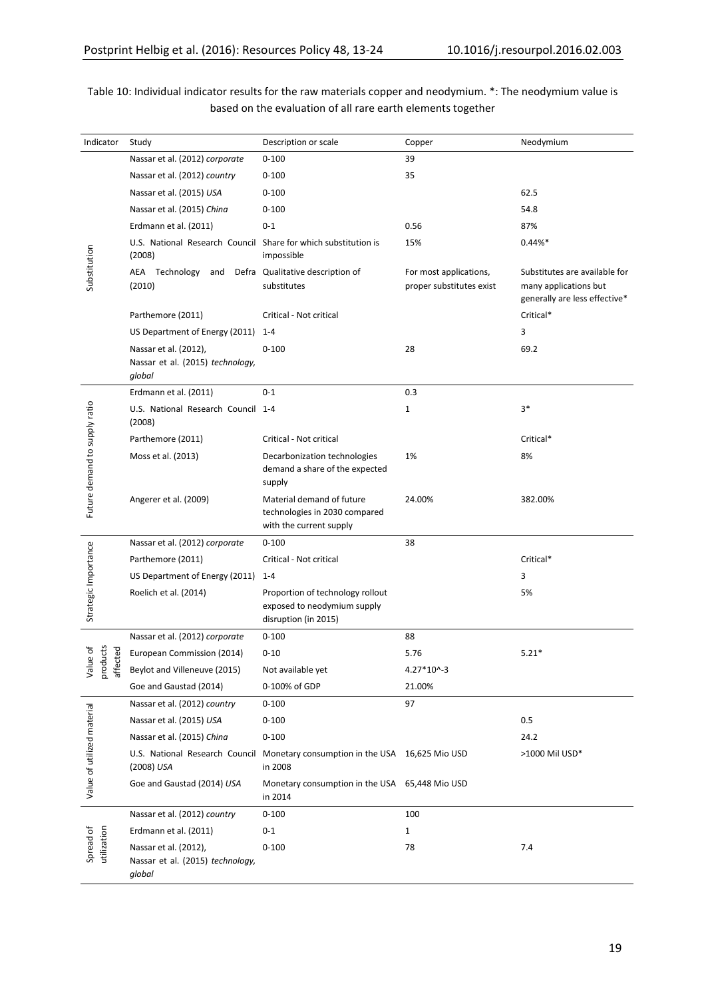<span id="page-19-0"></span>Table 10: Individual indicator results for the raw materials copper and neodymium. \*: The neodymium value is based on the evaluation of all rare earth elements together

| Indicator                          | Study                                                               | Description or scale                                                                     | Copper                                             | Neodymium                                                                               |  |  |
|------------------------------------|---------------------------------------------------------------------|------------------------------------------------------------------------------------------|----------------------------------------------------|-----------------------------------------------------------------------------------------|--|--|
|                                    | Nassar et al. (2012) corporate                                      | $0 - 100$                                                                                | 39                                                 |                                                                                         |  |  |
|                                    | Nassar et al. (2012) country                                        | $0 - 100$                                                                                | 35                                                 |                                                                                         |  |  |
|                                    | Nassar et al. (2015) USA                                            | $0 - 100$                                                                                |                                                    | 62.5                                                                                    |  |  |
|                                    | Nassar et al. (2015) China                                          | $0 - 100$                                                                                |                                                    | 54.8                                                                                    |  |  |
|                                    | Erdmann et al. (2011)                                               | $0 - 1$                                                                                  | 0.56                                               | 87%                                                                                     |  |  |
|                                    | U.S. National Research Council Share for which substitution is      |                                                                                          | 15%                                                | $0.44%$ *                                                                               |  |  |
|                                    | (2008)                                                              | impossible                                                                               |                                                    |                                                                                         |  |  |
| Substitution                       | AEA Technology<br>and<br>(2010)                                     | Defra Qualitative description of<br>substitutes                                          | For most applications,<br>proper substitutes exist | Substitutes are available for<br>many applications but<br>generally are less effective* |  |  |
|                                    | Parthemore (2011)                                                   | Critical - Not critical                                                                  |                                                    | Critical*                                                                               |  |  |
|                                    | US Department of Energy (2011)                                      | $1 - 4$                                                                                  |                                                    | 3                                                                                       |  |  |
|                                    | Nassar et al. (2012),                                               | $0 - 100$                                                                                | 28                                                 | 69.2                                                                                    |  |  |
|                                    | Nassar et al. (2015) technology,<br>global                          |                                                                                          |                                                    |                                                                                         |  |  |
|                                    | Erdmann et al. (2011)                                               | $0 - 1$                                                                                  | 0.3                                                |                                                                                         |  |  |
| Future demand to supply ratio      | U.S. National Research Council 1-4<br>(2008)                        |                                                                                          | 1                                                  | 3*                                                                                      |  |  |
|                                    | Parthemore (2011)                                                   | Critical - Not critical                                                                  |                                                    | Critical*                                                                               |  |  |
|                                    | Moss et al. (2013)                                                  | Decarbonization technologies                                                             | 1%                                                 | 8%                                                                                      |  |  |
|                                    |                                                                     | demand a share of the expected<br>supply                                                 |                                                    |                                                                                         |  |  |
|                                    | Angerer et al. (2009)                                               | Material demand of future<br>technologies in 2030 compared<br>with the current supply    | 24.00%                                             | 382.00%                                                                                 |  |  |
|                                    | Nassar et al. (2012) corporate                                      | $0 - 100$                                                                                | 38                                                 |                                                                                         |  |  |
|                                    | Parthemore (2011)                                                   | Critical - Not critical                                                                  |                                                    | Critical*                                                                               |  |  |
|                                    | US Department of Energy (2011)                                      | $1 - 4$                                                                                  |                                                    | 3                                                                                       |  |  |
|                                    | Roelich et al. (2014)                                               | Proportion of technology rollout                                                         |                                                    | 5%                                                                                      |  |  |
| Strategic Importance               |                                                                     | exposed to neodymium supply                                                              |                                                    |                                                                                         |  |  |
|                                    |                                                                     | disruption (in 2015)                                                                     |                                                    |                                                                                         |  |  |
|                                    | Nassar et al. (2012) corporate                                      | $0 - 100$                                                                                | 88                                                 |                                                                                         |  |  |
| ucts<br>৳<br>ted<br>$\mathbbmss{}$ | European Commission (2014)                                          | $0 - 10$                                                                                 | 5.76                                               | $5.21*$                                                                                 |  |  |
| affec<br>prod<br>Valu              | Beylot and Villeneuve (2015)                                        | Not available yet                                                                        | 4.27*10^-3                                         |                                                                                         |  |  |
|                                    | Goe and Gaustad (2014)                                              | 0-100% of GDP                                                                            | 21.00%                                             |                                                                                         |  |  |
|                                    | Nassar et al. (2012) country                                        | $0 - 100$                                                                                | 97                                                 |                                                                                         |  |  |
|                                    | Nassar et al. (2015) USA                                            | $0 - 100$                                                                                |                                                    | 0.5                                                                                     |  |  |
|                                    | Nassar et al. (2015) China                                          | $0 - 100$                                                                                |                                                    | 24.2                                                                                    |  |  |
| Value of utilized material         | (2008) USA                                                          | U.S. National Research Council Monetary consumption in the USA 16,625 Mio USD<br>in 2008 |                                                    | >1000 Mil USD*                                                                          |  |  |
|                                    | Goe and Gaustad (2014) USA                                          | Monetary consumption in the USA 65,448 Mio USD<br>in 2014                                |                                                    |                                                                                         |  |  |
|                                    | Nassar et al. (2012) country                                        | $0 - 100$                                                                                | 100                                                |                                                                                         |  |  |
|                                    | Erdmann et al. (2011)                                               | $0 - 1$                                                                                  | $\mathbf{1}$                                       |                                                                                         |  |  |
| utilization<br>Spread of           | Nassar et al. (2012),<br>Nassar et al. (2015) technology,<br>global | $0 - 100$                                                                                | 78                                                 | 7.4                                                                                     |  |  |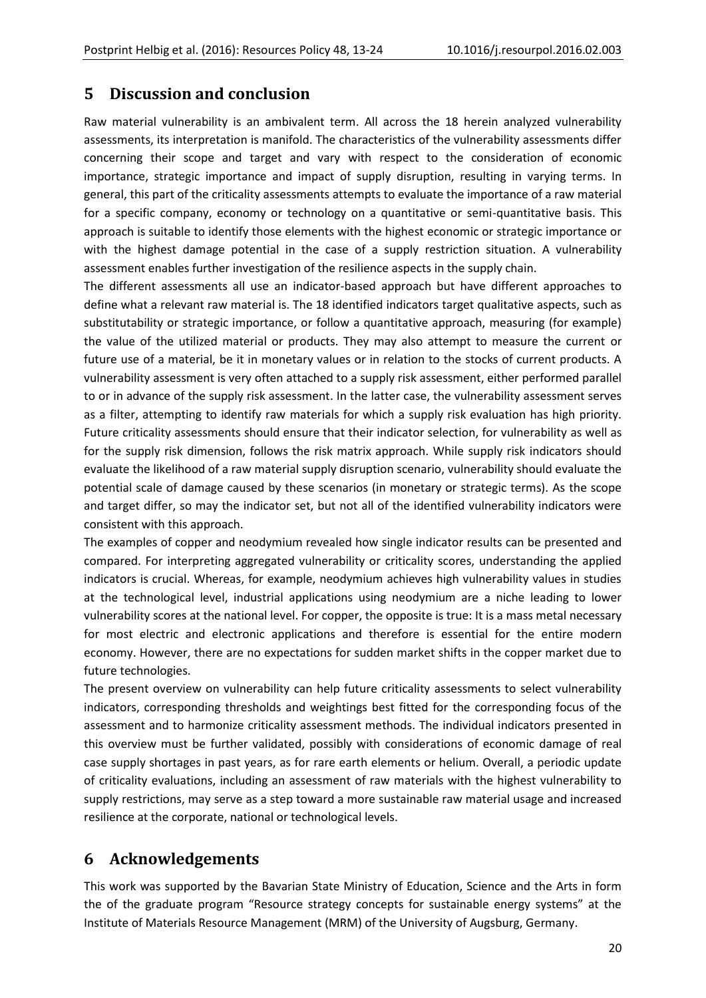# **5 Discussion and conclusion**

Raw material vulnerability is an ambivalent term. All across the 18 herein analyzed vulnerability assessments, its interpretation is manifold. The characteristics of the vulnerability assessments differ concerning their scope and target and vary with respect to the consideration of economic importance, strategic importance and impact of supply disruption, resulting in varying terms. In general, this part of the criticality assessments attempts to evaluate the importance of a raw material for a specific company, economy or technology on a quantitative or semi-quantitative basis. This approach is suitable to identify those elements with the highest economic or strategic importance or with the highest damage potential in the case of a supply restriction situation. A vulnerability assessment enables further investigation of the resilience aspects in the supply chain.

The different assessments all use an indicator-based approach but have different approaches to define what a relevant raw material is. The 18 identified indicators target qualitative aspects, such as substitutability or strategic importance, or follow a quantitative approach, measuring (for example) the value of the utilized material or products. They may also attempt to measure the current or future use of a material, be it in monetary values or in relation to the stocks of current products. A vulnerability assessment is very often attached to a supply risk assessment, either performed parallel to or in advance of the supply risk assessment. In the latter case, the vulnerability assessment serves as a filter, attempting to identify raw materials for which a supply risk evaluation has high priority. Future criticality assessments should ensure that their indicator selection, for vulnerability as well as for the supply risk dimension, follows the risk matrix approach. While supply risk indicators should evaluate the likelihood of a raw material supply disruption scenario, vulnerability should evaluate the potential scale of damage caused by these scenarios (in monetary or strategic terms). As the scope and target differ, so may the indicator set, but not all of the identified vulnerability indicators were consistent with this approach.

The examples of copper and neodymium revealed how single indicator results can be presented and compared. For interpreting aggregated vulnerability or criticality scores, understanding the applied indicators is crucial. Whereas, for example, neodymium achieves high vulnerability values in studies at the technological level, industrial applications using neodymium are a niche leading to lower vulnerability scores at the national level. For copper, the opposite is true: It is a mass metal necessary for most electric and electronic applications and therefore is essential for the entire modern economy. However, there are no expectations for sudden market shifts in the copper market due to future technologies.

The present overview on vulnerability can help future criticality assessments to select vulnerability indicators, corresponding thresholds and weightings best fitted for the corresponding focus of the assessment and to harmonize criticality assessment methods. The individual indicators presented in this overview must be further validated, possibly with considerations of economic damage of real case supply shortages in past years, as for rare earth elements or helium. Overall, a periodic update of criticality evaluations, including an assessment of raw materials with the highest vulnerability to supply restrictions, may serve as a step toward a more sustainable raw material usage and increased resilience at the corporate, national or technological levels.

# **6 Acknowledgements**

This work was supported by the Bavarian State Ministry of Education, Science and the Arts in form the of the graduate program "Resource strategy concepts for sustainable energy systems" at the Institute of Materials Resource Management (MRM) of the University of Augsburg, Germany.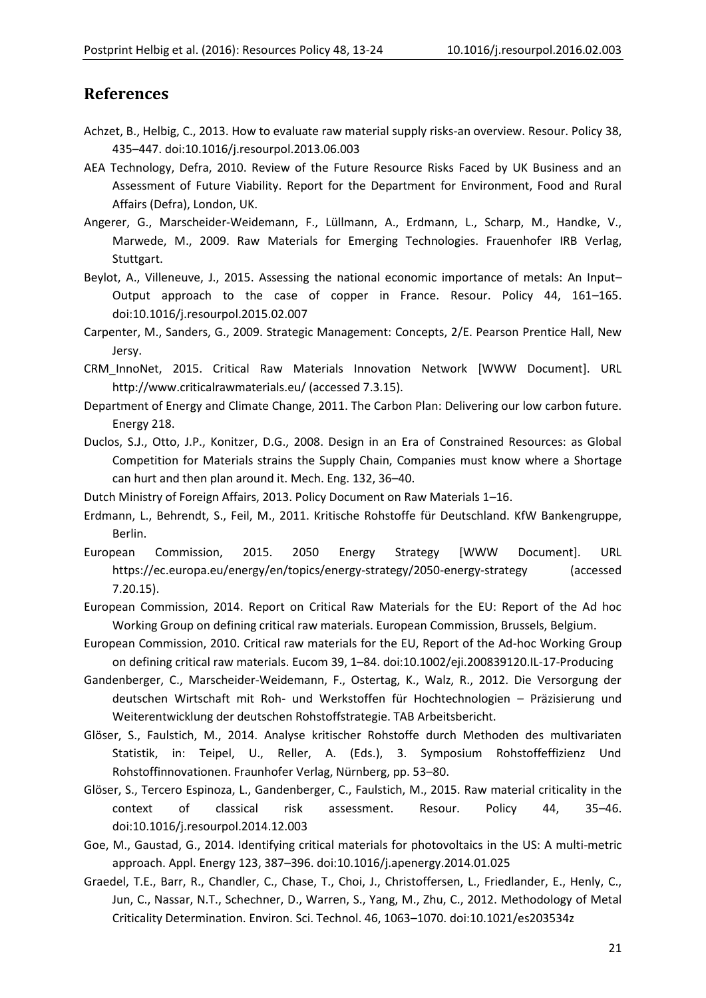## **References**

- Achzet, B., Helbig, C., 2013. How to evaluate raw material supply risks-an overview. Resour. Policy 38, 435–447. doi:10.1016/j.resourpol.2013.06.003
- AEA Technology, Defra, 2010. Review of the Future Resource Risks Faced by UK Business and an Assessment of Future Viability. Report for the Department for Environment, Food and Rural Affairs (Defra), London, UK.
- Angerer, G., Marscheider-Weidemann, F., Lüllmann, A., Erdmann, L., Scharp, M., Handke, V., Marwede, M., 2009. Raw Materials for Emerging Technologies. Frauenhofer IRB Verlag, Stuttgart.
- Beylot, A., Villeneuve, J., 2015. Assessing the national economic importance of metals: An Input-Output approach to the case of copper in France. Resour. Policy 44, 161–165. doi:10.1016/j.resourpol.2015.02.007
- Carpenter, M., Sanders, G., 2009. Strategic Management: Concepts, 2/E. Pearson Prentice Hall, New Jersy.
- CRM\_InnoNet, 2015. Critical Raw Materials Innovation Network [WWW Document]. URL http://www.criticalrawmaterials.eu/ (accessed 7.3.15).
- Department of Energy and Climate Change, 2011. The Carbon Plan: Delivering our low carbon future. Energy 218.
- Duclos, S.J., Otto, J.P., Konitzer, D.G., 2008. Design in an Era of Constrained Resources: as Global Competition for Materials strains the Supply Chain, Companies must know where a Shortage can hurt and then plan around it. Mech. Eng. 132, 36–40.
- Dutch Ministry of Foreign Affairs, 2013. Policy Document on Raw Materials 1–16.
- Erdmann, L., Behrendt, S., Feil, M., 2011. Kritische Rohstoffe für Deutschland. KfW Bankengruppe, Berlin.
- European Commission, 2015. 2050 Energy Strategy [WWW Document]. URL https://ec.europa.eu/energy/en/topics/energy-strategy/2050-energy-strategy (accessed 7.20.15).
- European Commission, 2014. Report on Critical Raw Materials for the EU: Report of the Ad hoc Working Group on defining critical raw materials. European Commission, Brussels, Belgium.
- European Commission, 2010. Critical raw materials for the EU, Report of the Ad-hoc Working Group on defining critical raw materials. Eucom 39, 1–84. doi:10.1002/eji.200839120.IL-17-Producing
- Gandenberger, C., Marscheider-Weidemann, F., Ostertag, K., Walz, R., 2012. Die Versorgung der deutschen Wirtschaft mit Roh- und Werkstoffen für Hochtechnologien – Präzisierung und Weiterentwicklung der deutschen Rohstoffstrategie. TAB Arbeitsbericht.
- Glöser, S., Faulstich, M., 2014. Analyse kritischer Rohstoffe durch Methoden des multivariaten Statistik, in: Teipel, U., Reller, A. (Eds.), 3. Symposium Rohstoffeffizienz Und Rohstoffinnovationen. Fraunhofer Verlag, Nürnberg, pp. 53–80.
- Glöser, S., Tercero Espinoza, L., Gandenberger, C., Faulstich, M., 2015. Raw material criticality in the context of classical risk assessment. Resour. Policy 44, 35–46. doi:10.1016/j.resourpol.2014.12.003
- Goe, M., Gaustad, G., 2014. Identifying critical materials for photovoltaics in the US: A multi-metric approach. Appl. Energy 123, 387–396. doi:10.1016/j.apenergy.2014.01.025
- Graedel, T.E., Barr, R., Chandler, C., Chase, T., Choi, J., Christoffersen, L., Friedlander, E., Henly, C., Jun, C., Nassar, N.T., Schechner, D., Warren, S., Yang, M., Zhu, C., 2012. Methodology of Metal Criticality Determination. Environ. Sci. Technol. 46, 1063–1070. doi:10.1021/es203534z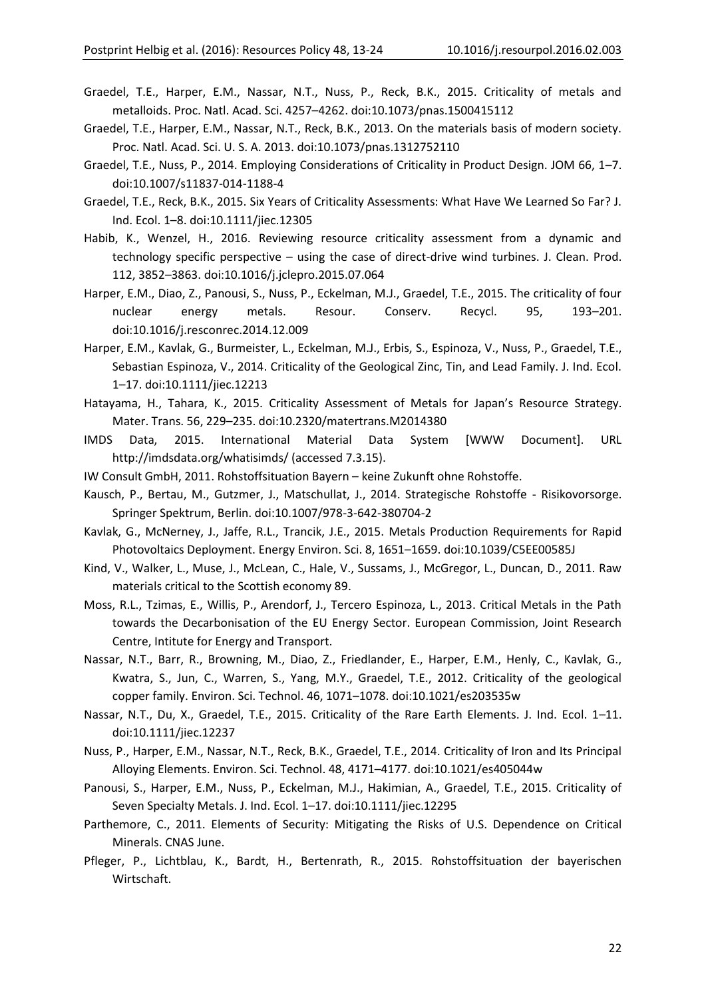- Graedel, T.E., Harper, E.M., Nassar, N.T., Nuss, P., Reck, B.K., 2015. Criticality of metals and metalloids. Proc. Natl. Acad. Sci. 4257–4262. doi:10.1073/pnas.1500415112
- Graedel, T.E., Harper, E.M., Nassar, N.T., Reck, B.K., 2013. On the materials basis of modern society. Proc. Natl. Acad. Sci. U. S. A. 2013. doi:10.1073/pnas.1312752110
- Graedel, T.E., Nuss, P., 2014. Employing Considerations of Criticality in Product Design. JOM 66, 1–7. doi:10.1007/s11837-014-1188-4
- Graedel, T.E., Reck, B.K., 2015. Six Years of Criticality Assessments: What Have We Learned So Far? J. Ind. Ecol. 1–8. doi:10.1111/jiec.12305
- Habib, K., Wenzel, H., 2016. Reviewing resource criticality assessment from a dynamic and technology specific perspective – using the case of direct-drive wind turbines. J. Clean. Prod. 112, 3852–3863. doi:10.1016/j.jclepro.2015.07.064
- Harper, E.M., Diao, Z., Panousi, S., Nuss, P., Eckelman, M.J., Graedel, T.E., 2015. The criticality of four nuclear energy metals. Resour. Conserv. Recycl. 95, 193–201. doi:10.1016/j.resconrec.2014.12.009
- Harper, E.M., Kavlak, G., Burmeister, L., Eckelman, M.J., Erbis, S., Espinoza, V., Nuss, P., Graedel, T.E., Sebastian Espinoza, V., 2014. Criticality of the Geological Zinc, Tin, and Lead Family. J. Ind. Ecol. 1–17. doi:10.1111/jiec.12213
- Hatayama, H., Tahara, K., 2015. Criticality Assessment of Metals for Japan's Resource Strategy. Mater. Trans. 56, 229–235. doi:10.2320/matertrans.M2014380
- IMDS Data, 2015. International Material Data System [WWW Document]. URL http://imdsdata.org/whatisimds/ (accessed 7.3.15).
- IW Consult GmbH, 2011. Rohstoffsituation Bayern keine Zukunft ohne Rohstoffe.
- Kausch, P., Bertau, M., Gutzmer, J., Matschullat, J., 2014. Strategische Rohstoffe Risikovorsorge. Springer Spektrum, Berlin. doi:10.1007/978-3-642-380704-2
- Kavlak, G., McNerney, J., Jaffe, R.L., Trancik, J.E., 2015. Metals Production Requirements for Rapid Photovoltaics Deployment. Energy Environ. Sci. 8, 1651–1659. doi:10.1039/C5EE00585J
- Kind, V., Walker, L., Muse, J., McLean, C., Hale, V., Sussams, J., McGregor, L., Duncan, D., 2011. Raw materials critical to the Scottish economy 89.
- Moss, R.L., Tzimas, E., Willis, P., Arendorf, J., Tercero Espinoza, L., 2013. Critical Metals in the Path towards the Decarbonisation of the EU Energy Sector. European Commission, Joint Research Centre, Intitute for Energy and Transport.
- Nassar, N.T., Barr, R., Browning, M., Diao, Z., Friedlander, E., Harper, E.M., Henly, C., Kavlak, G., Kwatra, S., Jun, C., Warren, S., Yang, M.Y., Graedel, T.E., 2012. Criticality of the geological copper family. Environ. Sci. Technol. 46, 1071–1078. doi:10.1021/es203535w
- Nassar, N.T., Du, X., Graedel, T.E., 2015. Criticality of the Rare Earth Elements. J. Ind. Ecol. 1–11. doi:10.1111/jiec.12237
- Nuss, P., Harper, E.M., Nassar, N.T., Reck, B.K., Graedel, T.E., 2014. Criticality of Iron and Its Principal Alloying Elements. Environ. Sci. Technol. 48, 4171–4177. doi:10.1021/es405044w
- Panousi, S., Harper, E.M., Nuss, P., Eckelman, M.J., Hakimian, A., Graedel, T.E., 2015. Criticality of Seven Specialty Metals. J. Ind. Ecol. 1–17. doi:10.1111/jiec.12295
- Parthemore, C., 2011. Elements of Security: Mitigating the Risks of U.S. Dependence on Critical Minerals. CNAS June.
- Pfleger, P., Lichtblau, K., Bardt, H., Bertenrath, R., 2015. Rohstoffsituation der bayerischen Wirtschaft.